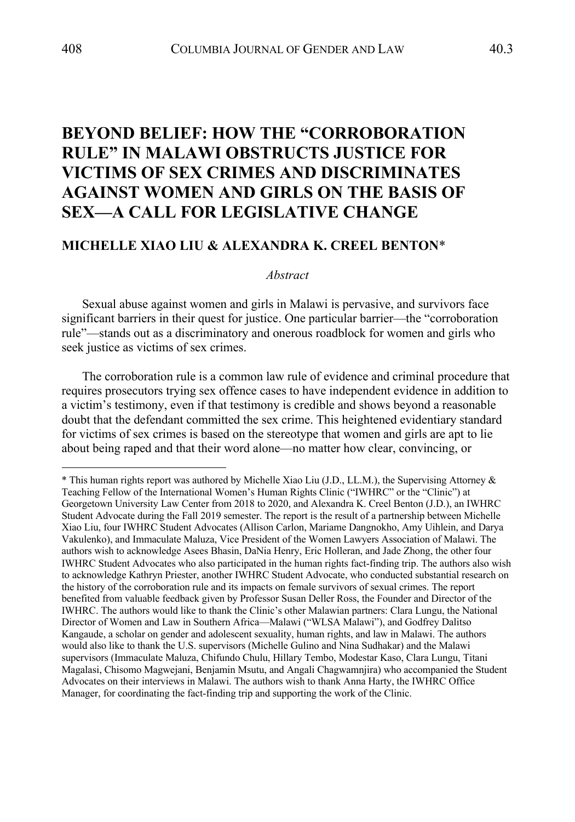# **BEYOND BELIEF: HOW THE "CORROBORATION RULE" IN MALAWI OBSTRUCTS JUSTICE FOR VICTIMS OF SEX CRIMES AND DISCRIMINATES AGAINST WOMEN AND GIRLS ON THE BASIS OF SEX—A CALL FOR LEGISLATIVE CHANGE**

# **MICHELLE XIAO LIU & ALEXANDRA K. CREEL BENTON**\*

#### *Abstract*

Sexual abuse against women and girls in Malawi is pervasive, and survivors face significant barriers in their quest for justice. One particular barrier—the "corroboration rule"—stands out as a discriminatory and onerous roadblock for women and girls who seek justice as victims of sex crimes.

The corroboration rule is a common law rule of evidence and criminal procedure that requires prosecutors trying sex offence cases to have independent evidence in addition to a victim's testimony, even if that testimony is credible and shows beyond a reasonable doubt that the defendant committed the sex crime. This heightened evidentiary standard for victims of sex crimes is based on the stereotype that women and girls are apt to lie about being raped and that their word alone—no matter how clear, convincing, or

<sup>\*</sup> This human rights report was authored by Michelle Xiao Liu (J.D., LL.M.), the Supervising Attorney & Teaching Fellow of the International Women's Human Rights Clinic ("IWHRC" or the "Clinic") at Georgetown University Law Center from 2018 to 2020, and Alexandra K. Creel Benton (J.D.), an IWHRC Student Advocate during the Fall 2019 semester. The report is the result of a partnership between Michelle Xiao Liu, four IWHRC Student Advocates (Allison Carlon, Mariame Dangnokho, Amy Uihlein, and Darya Vakulenko), and Immaculate Maluza, Vice President of the Women Lawyers Association of Malawi. The authors wish to acknowledge Asees Bhasin, DaNia Henry, Eric Holleran, and Jade Zhong, the other four IWHRC Student Advocates who also participated in the human rights fact-finding trip. The authors also wish to acknowledge Kathryn Priester, another IWHRC Student Advocate, who conducted substantial research on the history of the corroboration rule and its impacts on female survivors of sexual crimes. The report benefited from valuable feedback given by Professor Susan Deller Ross, the Founder and Director of the IWHRC. The authors would like to thank the Clinic's other Malawian partners: Clara Lungu, the National Director of Women and Law in Southern Africa—Malawi ("WLSA Malawi"), and Godfrey Dalitso Kangaude, a scholar on gender and adolescent sexuality, human rights, and law in Malawi. The authors would also like to thank the U.S. supervisors (Michelle Gulino and Nina Sudhakar) and the Malawi supervisors (Immaculate Maluza, Chifundo Chulu, Hillary Tembo, Modestar Kaso, Clara Lungu, Titani Magalasi, Chisomo Magwejani, Benjamin Msutu, and Angali Chagwamnjira) who accompanied the Student Advocates on their interviews in Malawi. The authors wish to thank Anna Harty, the IWHRC Office Manager, for coordinating the fact-finding trip and supporting the work of the Clinic.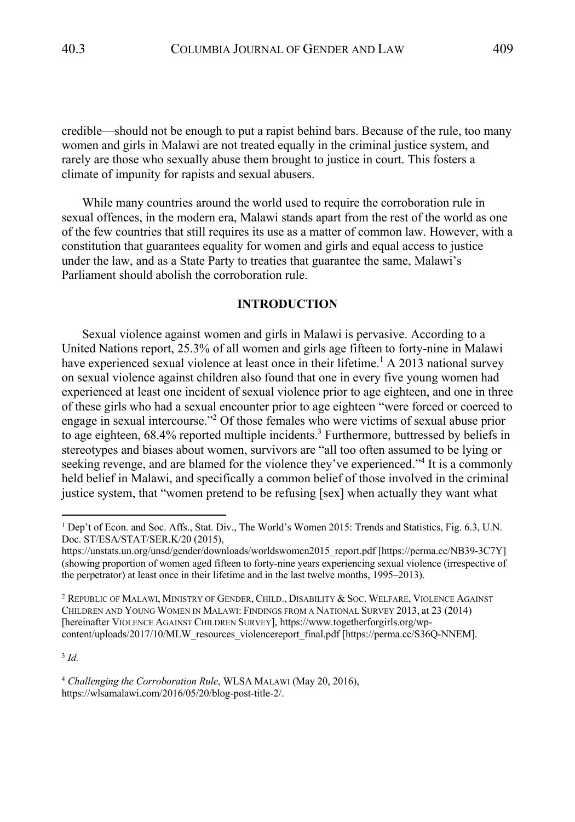credible—should not be enough to put a rapist behind bars. Because of the rule, too many women and girls in Malawi are not treated equally in the criminal justice system, and rarely are those who sexually abuse them brought to justice in court. This fosters a climate of impunity for rapists and sexual abusers.

While many countries around the world used to require the corroboration rule in sexual offences, in the modern era, Malawi stands apart from the rest of the world as one of the few countries that still requires its use as a matter of common law. However, with a constitution that guarantees equality for women and girls and equal access to justice under the law, and as a State Party to treaties that guarantee the same, Malawi's Parliament should abolish the corroboration rule.

#### **INTRODUCTION**

Sexual violence against women and girls in Malawi is pervasive. According to a United Nations report, 25.3% of all women and girls age fifteen to forty-nine in Malawi have experienced sexual violence at least once in their lifetime.<sup>1</sup> A 2013 national survey on sexual violence against children also found that one in every five young women had experienced at least one incident of sexual violence prior to age eighteen, and one in three of these girls who had a sexual encounter prior to age eighteen "were forced or coerced to engage in sexual intercourse."<sup>2</sup> Of those females who were victims of sexual abuse prior to age eighteen,  $68.4\%$  reported multiple incidents.<sup>3</sup> Furthermore, buttressed by beliefs in stereotypes and biases about women, survivors are "all too often assumed to be lying or seeking revenge, and are blamed for the violence they've experienced."4 It is a commonly held belief in Malawi, and specifically a common belief of those involved in the criminal justice system, that "women pretend to be refusing [sex] when actually they want what

<sup>3</sup> *Id.*

<sup>4</sup> *Challenging the Corroboration Rule*, WLSA MALAWI (May 20, 2016), https://wlsamalawi.com/2016/05/20/blog-post-title-2/.

<sup>1</sup> Dep't of Econ. and Soc. Affs., Stat. Div., The World's Women 2015: Trends and Statistics, Fig. 6.3, U.N. Doc. ST/ESA/STAT/SER.K/20 (2015),

https://unstats.un.org/unsd/gender/downloads/worldswomen2015\_report.pdf [https://perma.cc/NB39-3C7Y] (showing proportion of women aged fifteen to forty-nine years experiencing sexual violence (irrespective of the perpetrator) at least once in their lifetime and in the last twelve months, 1995–2013).

 $^2$  Republic of Malawi, Ministry of Gender, Child., Disability & Soc. Welfare, Violence Against CHILDREN AND YOUNG WOMEN IN MALAWI: FINDINGS FROM A NATIONAL SURVEY 2013, at 23 (2014) [hereinafter VIOLENCE AGAINST CHILDREN SURVEY], https://www.togetherforgirls.org/wpcontent/uploads/2017/10/MLW\_resources\_violencereport\_final.pdf [https://perma.cc/S36Q-NNEM].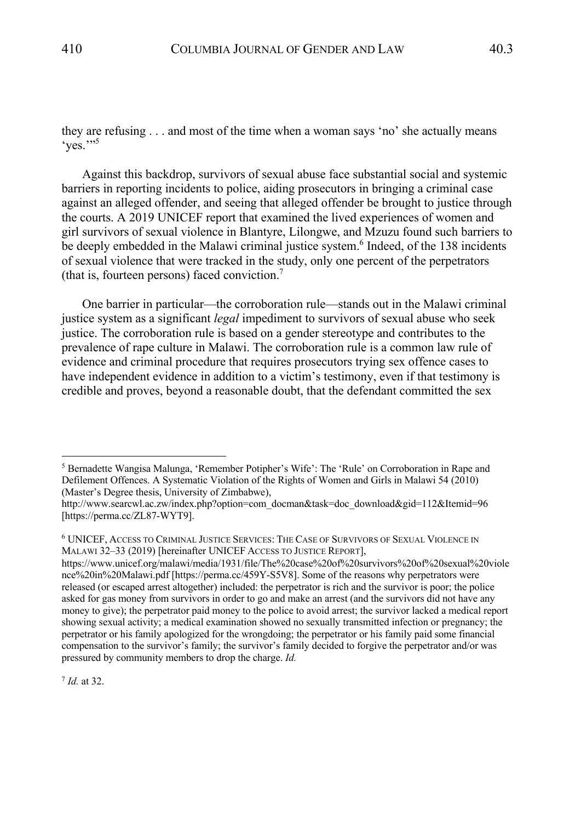they are refusing . . . and most of the time when a woman says 'no' she actually means  $ves.$ "

Against this backdrop, survivors of sexual abuse face substantial social and systemic barriers in reporting incidents to police, aiding prosecutors in bringing a criminal case against an alleged offender, and seeing that alleged offender be brought to justice through the courts. A 2019 UNICEF report that examined the lived experiences of women and girl survivors of sexual violence in Blantyre, Lilongwe, and Mzuzu found such barriers to be deeply embedded in the Malawi criminal justice system.<sup>6</sup> Indeed, of the 138 incidents of sexual violence that were tracked in the study, only one percent of the perpetrators (that is, fourteen persons) faced conviction.7

One barrier in particular—the corroboration rule—stands out in the Malawi criminal justice system as a significant *legal* impediment to survivors of sexual abuse who seek justice. The corroboration rule is based on a gender stereotype and contributes to the prevalence of rape culture in Malawi. The corroboration rule is a common law rule of evidence and criminal procedure that requires prosecutors trying sex offence cases to have independent evidence in addition to a victim's testimony, even if that testimony is credible and proves, beyond a reasonable doubt, that the defendant committed the sex

<sup>7</sup> *Id.* at 32.

<sup>5</sup> Bernadette Wangisa Malunga, 'Remember Potipher's Wife': The 'Rule' on Corroboration in Rape and Defilement Offences. A Systematic Violation of the Rights of Women and Girls in Malawi 54 (2010) (Master's Degree thesis, University of Zimbabwe),

http://www.searcwl.ac.zw/index.php?option=com\_docman&task=doc\_download&gid=112&Itemid=96 [https://perma.cc/ZL87-WYT9].

<sup>6</sup> UNICEF, ACCESS TO CRIMINAL JUSTICE SERVICES: THE CASE OF SURVIVORS OF SEXUAL VIOLENCE IN MALAWI 32–33 (2019) [hereinafter UNICEF ACCESS TO JUSTICE REPORT],

https://www.unicef.org/malawi/media/1931/file/The%20case%20of%20survivors%20of%20sexual%20viole nce%20in%20Malawi.pdf [https://perma.cc/459Y-S5V8]. Some of the reasons why perpetrators were released (or escaped arrest altogether) included: the perpetrator is rich and the survivor is poor; the police asked for gas money from survivors in order to go and make an arrest (and the survivors did not have any money to give); the perpetrator paid money to the police to avoid arrest; the survivor lacked a medical report showing sexual activity; a medical examination showed no sexually transmitted infection or pregnancy; the perpetrator or his family apologized for the wrongdoing; the perpetrator or his family paid some financial compensation to the survivor's family; the survivor's family decided to forgive the perpetrator and/or was pressured by community members to drop the charge. *Id.*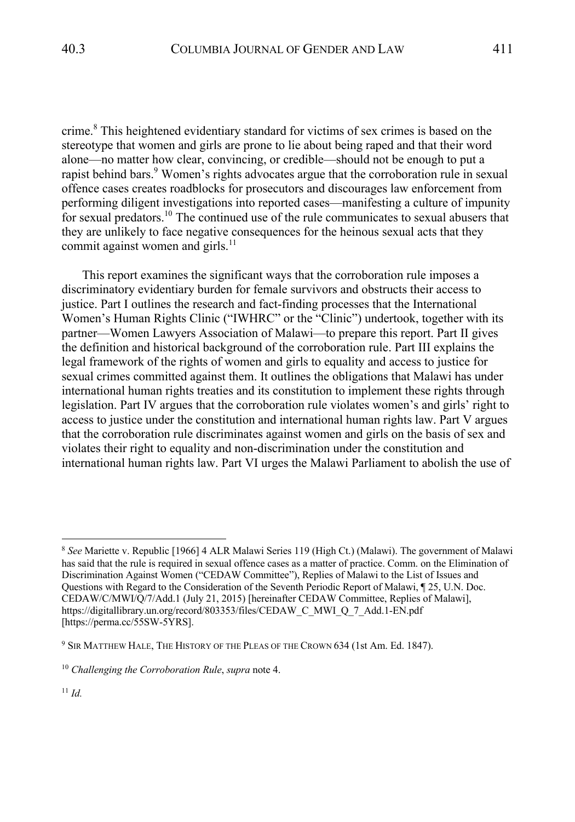crime.<sup>8</sup> This heightened evidentiary standard for victims of sex crimes is based on the stereotype that women and girls are prone to lie about being raped and that their word alone—no matter how clear, convincing, or credible—should not be enough to put a rapist behind bars. $9$  Women's rights advocates argue that the corroboration rule in sexual offence cases creates roadblocks for prosecutors and discourages law enforcement from performing diligent investigations into reported cases—manifesting a culture of impunity for sexual predators.10 The continued use of the rule communicates to sexual abusers that they are unlikely to face negative consequences for the heinous sexual acts that they commit against women and girls. $^{11}$ 

This report examines the significant ways that the corroboration rule imposes a discriminatory evidentiary burden for female survivors and obstructs their access to justice. Part I outlines the research and fact-finding processes that the International Women's Human Rights Clinic ("IWHRC" or the "Clinic") undertook, together with its partner—Women Lawyers Association of Malawi—to prepare this report. Part II gives the definition and historical background of the corroboration rule. Part III explains the legal framework of the rights of women and girls to equality and access to justice for sexual crimes committed against them. It outlines the obligations that Malawi has under international human rights treaties and its constitution to implement these rights through legislation. Part IV argues that the corroboration rule violates women's and girls' right to access to justice under the constitution and international human rights law. Part V argues that the corroboration rule discriminates against women and girls on the basis of sex and violates their right to equality and non-discrimination under the constitution and international human rights law. Part VI urges the Malawi Parliament to abolish the use of

<sup>8</sup> *See* Mariette v. Republic [1966] 4 ALR Malawi Series 119 (High Ct.) (Malawi). The government of Malawi has said that the rule is required in sexual offence cases as a matter of practice. Comm. on the Elimination of Discrimination Against Women ("CEDAW Committee"), Replies of Malawi to the List of Issues and Questions with Regard to the Consideration of the Seventh Periodic Report of Malawi, ¶ 25, U.N. Doc. CEDAW/C/MWI/Q/7/Add.1 (July 21, 2015) [hereinafter CEDAW Committee, Replies of Malawi], https://digitallibrary.un.org/record/803353/files/CEDAW\_C\_MWI\_Q\_7\_Add.1-EN.pdf [https://perma.cc/55SW-5YRS].

<sup>&</sup>lt;sup>9</sup> SIR MATTHEW HALE, THE HISTORY OF THE PLEAS OF THE CROWN 634 (1st Am. Ed. 1847).

<sup>10</sup> *Challenging the Corroboration Rule*, *supra* note 4.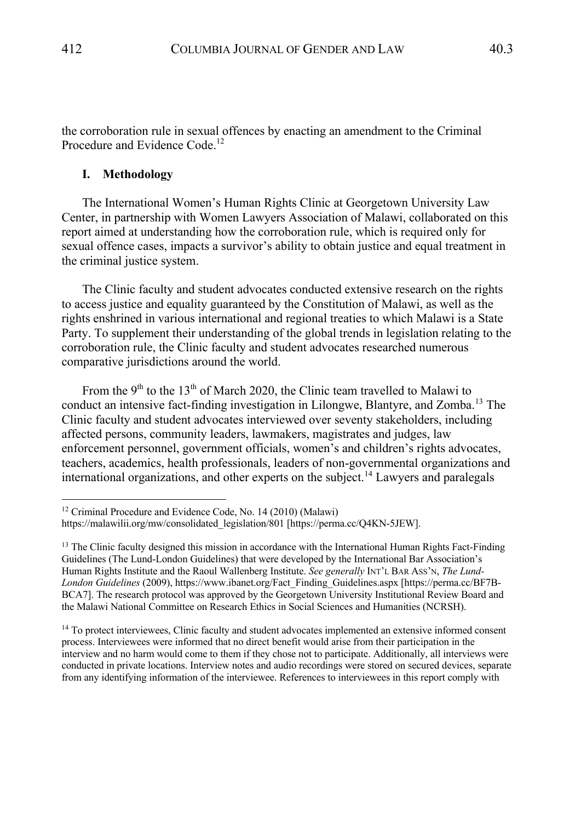the corroboration rule in sexual offences by enacting an amendment to the Criminal Procedure and Evidence Code.<sup>12</sup>

### **I. Methodology**

The International Women's Human Rights Clinic at Georgetown University Law Center, in partnership with Women Lawyers Association of Malawi, collaborated on this report aimed at understanding how the corroboration rule, which is required only for sexual offence cases, impacts a survivor's ability to obtain justice and equal treatment in the criminal justice system.

The Clinic faculty and student advocates conducted extensive research on the rights to access justice and equality guaranteed by the Constitution of Malawi, as well as the rights enshrined in various international and regional treaties to which Malawi is a State Party. To supplement their understanding of the global trends in legislation relating to the corroboration rule, the Clinic faculty and student advocates researched numerous comparative jurisdictions around the world.

From the 9<sup>th</sup> to the 13<sup>th</sup> of March 2020, the Clinic team travelled to Malawi to conduct an intensive fact-finding investigation in Lilongwe, Blantyre, and Zomba.<sup>13</sup> The Clinic faculty and student advocates interviewed over seventy stakeholders, including affected persons, community leaders, lawmakers, magistrates and judges, law enforcement personnel, government officials, women's and children's rights advocates, teachers, academics, health professionals, leaders of non-governmental organizations and international organizations, and other experts on the subject.<sup>14</sup> Lawyers and paralegals

<sup>12</sup> Criminal Procedure and Evidence Code, No. 14 (2010) (Malawi) https://malawilii.org/mw/consolidated\_legislation/801 [https://perma.cc/Q4KN-5JEW].

<sup>&</sup>lt;sup>13</sup> The Clinic faculty designed this mission in accordance with the International Human Rights Fact-Finding Guidelines (The Lund-London Guidelines) that were developed by the International Bar Association's Human Rights Institute and the Raoul Wallenberg Institute. *See generally* INT'L BAR ASS'N, *The Lund-London Guidelines* (2009), https://www.ibanet.org/Fact\_Finding\_Guidelines.aspx [https://perma.cc/BF7B-BCA7]. The research protocol was approved by the Georgetown University Institutional Review Board and the Malawi National Committee on Research Ethics in Social Sciences and Humanities (NCRSH).

<sup>&</sup>lt;sup>14</sup> To protect interviewees, Clinic faculty and student advocates implemented an extensive informed consent process. Interviewees were informed that no direct benefit would arise from their participation in the interview and no harm would come to them if they chose not to participate. Additionally, all interviews were conducted in private locations. Interview notes and audio recordings were stored on secured devices, separate from any identifying information of the interviewee. References to interviewees in this report comply with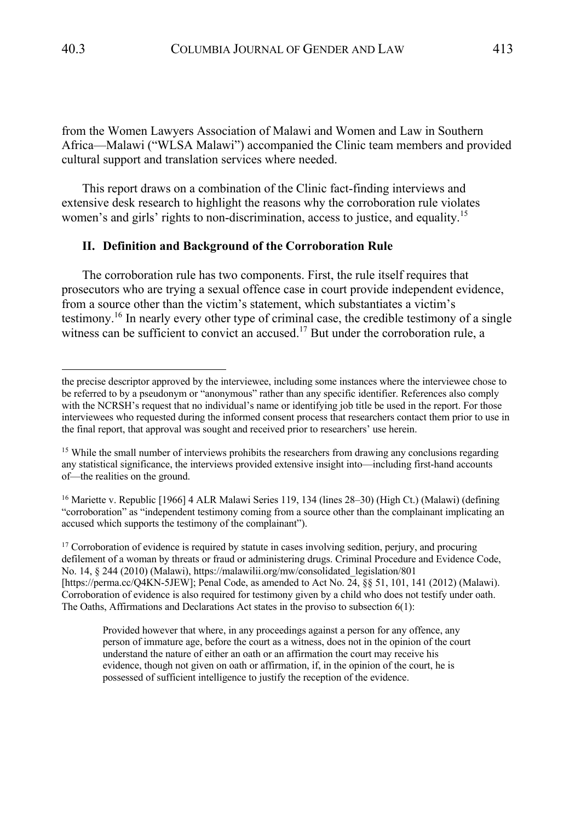from the Women Lawyers Association of Malawi and Women and Law in Southern Africa—Malawi ("WLSA Malawi") accompanied the Clinic team members and provided cultural support and translation services where needed.

This report draws on a combination of the Clinic fact-finding interviews and extensive desk research to highlight the reasons why the corroboration rule violates women's and girls' rights to non-discrimination, access to justice, and equality.<sup>15</sup>

#### **II. Definition and Background of the Corroboration Rule**

The corroboration rule has two components. First, the rule itself requires that prosecutors who are trying a sexual offence case in court provide independent evidence, from a source other than the victim's statement, which substantiates a victim's testimony.16 In nearly every other type of criminal case, the credible testimony of a single witness can be sufficient to convict an accused.<sup>17</sup> But under the corroboration rule, a

<sup>16</sup> Mariette v. Republic [1966] 4 ALR Malawi Series 119, 134 (lines 28–30) (High Ct.) (Malawi) (defining "corroboration" as "independent testimony coming from a source other than the complainant implicating an accused which supports the testimony of the complainant").

<sup>17</sup> Corroboration of evidence is required by statute in cases involving sedition, perjury, and procuring defilement of a woman by threats or fraud or administering drugs. Criminal Procedure and Evidence Code, No. 14, § 244 (2010) (Malawi), https://malawilii.org/mw/consolidated\_legislation/801 [https://perma.cc/Q4KN-5JEW]; Penal Code, as amended to Act No. 24, §§ 51, 101, 141 (2012) (Malawi). Corroboration of evidence is also required for testimony given by a child who does not testify under oath. The Oaths, Affirmations and Declarations Act states in the proviso to subsection 6(1):

Provided however that where, in any proceedings against a person for any offence, any person of immature age, before the court as a witness, does not in the opinion of the court understand the nature of either an oath or an affirmation the court may receive his evidence, though not given on oath or affirmation, if, in the opinion of the court, he is possessed of sufficient intelligence to justify the reception of the evidence.

the precise descriptor approved by the interviewee, including some instances where the interviewee chose to be referred to by a pseudonym or "anonymous" rather than any specific identifier. References also comply with the NCRSH's request that no individual's name or identifying job title be used in the report. For those interviewees who requested during the informed consent process that researchers contact them prior to use in the final report, that approval was sought and received prior to researchers' use herein.

<sup>&</sup>lt;sup>15</sup> While the small number of interviews prohibits the researchers from drawing any conclusions regarding any statistical significance, the interviews provided extensive insight into—including first-hand accounts of—the realities on the ground.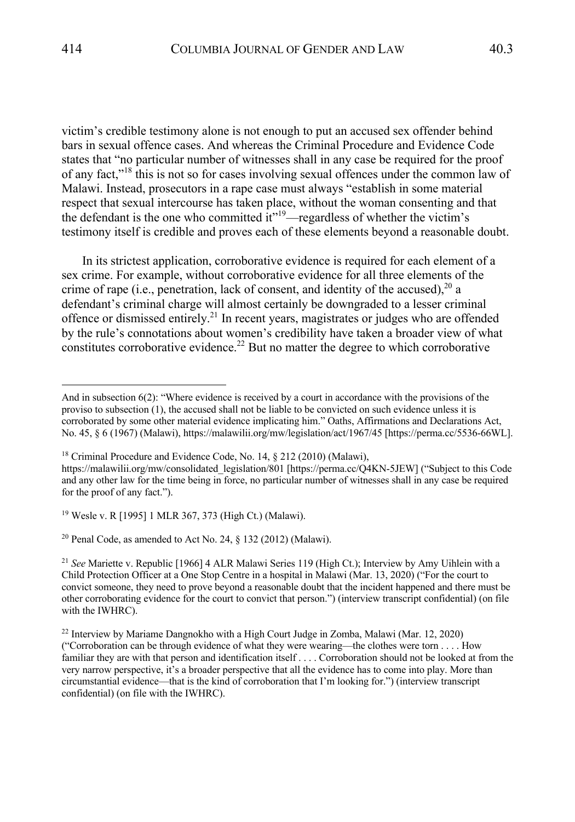victim's credible testimony alone is not enough to put an accused sex offender behind bars in sexual offence cases. And whereas the Criminal Procedure and Evidence Code states that "no particular number of witnesses shall in any case be required for the proof of any fact,"<sup>18</sup> this is not so for cases involving sexual offences under the common law of Malawi. Instead, prosecutors in a rape case must always "establish in some material respect that sexual intercourse has taken place, without the woman consenting and that the defendant is the one who committed  $it$ <sup>19</sup>—regardless of whether the victim's testimony itself is credible and proves each of these elements beyond a reasonable doubt.

In its strictest application, corroborative evidence is required for each element of a sex crime. For example, without corroborative evidence for all three elements of the crime of rape (i.e., penetration, lack of consent, and identity of the accused),  $2^0$  a defendant's criminal charge will almost certainly be downgraded to a lesser criminal offence or dismissed entirely.21 In recent years, magistrates or judges who are offended by the rule's connotations about women's credibility have taken a broader view of what constitutes corroborative evidence.<sup>22</sup> But no matter the degree to which corroborative

<sup>19</sup> Wesle v. R [1995] 1 MLR 367, 373 (High Ct.) (Malawi).

<sup>20</sup> Penal Code, as amended to Act No. 24,  $\S$  132 (2012) (Malawi).

And in subsection 6(2): "Where evidence is received by a court in accordance with the provisions of the proviso to subsection (1), the accused shall not be liable to be convicted on such evidence unless it is corroborated by some other material evidence implicating him." Oaths, Affirmations and Declarations Act, No. 45, § 6 (1967) (Malawi), https://malawilii.org/mw/legislation/act/1967/45 [https://perma.cc/5536-66WL].

<sup>&</sup>lt;sup>18</sup> Criminal Procedure and Evidence Code, No. 14, § 212 (2010) (Malawi),

https://malawilii.org/mw/consolidated\_legislation/801 [https://perma.cc/Q4KN-5JEW] ("Subject to this Code and any other law for the time being in force, no particular number of witnesses shall in any case be required for the proof of any fact.").

<sup>21</sup> *See* Mariette v. Republic [1966] 4 ALR Malawi Series 119 (High Ct.); Interview by Amy Uihlein with a Child Protection Officer at a One Stop Centre in a hospital in Malawi (Mar. 13, 2020) ("For the court to convict someone, they need to prove beyond a reasonable doubt that the incident happened and there must be other corroborating evidence for the court to convict that person.") (interview transcript confidential) (on file with the IWHRC).

<sup>&</sup>lt;sup>22</sup> Interview by Mariame Dangnokho with a High Court Judge in Zomba, Malawi (Mar. 12, 2020) ("Corroboration can be through evidence of what they were wearing—the clothes were torn . . . . How familiar they are with that person and identification itself . . . . Corroboration should not be looked at from the very narrow perspective, it's a broader perspective that all the evidence has to come into play. More than circumstantial evidence—that is the kind of corroboration that I'm looking for.") (interview transcript confidential) (on file with the IWHRC).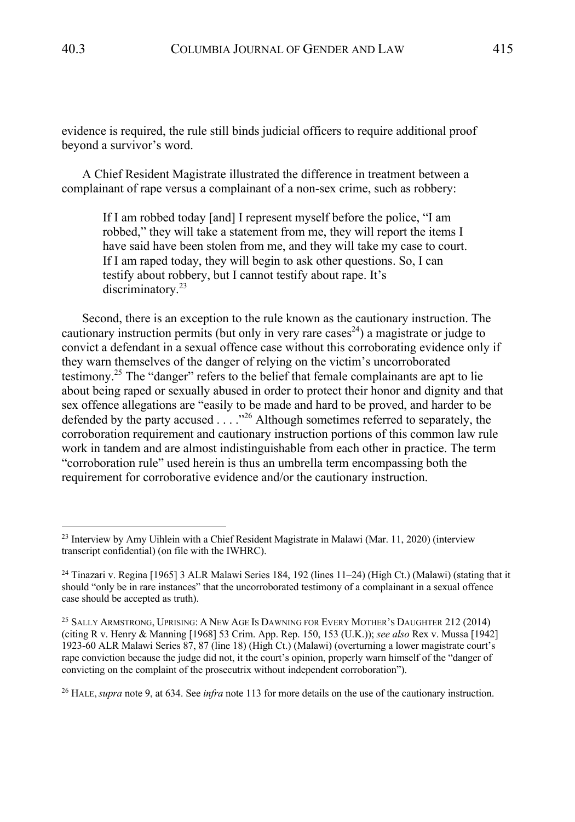evidence is required, the rule still binds judicial officers to require additional proof beyond a survivor's word.

A Chief Resident Magistrate illustrated the difference in treatment between a complainant of rape versus a complainant of a non-sex crime, such as robbery:

If I am robbed today [and] I represent myself before the police, "I am robbed," they will take a statement from me, they will report the items I have said have been stolen from me, and they will take my case to court. If I am raped today, they will begin to ask other questions. So, I can testify about robbery, but I cannot testify about rape. It's discriminatory.<sup>23</sup>

Second, there is an exception to the rule known as the cautionary instruction. The cautionary instruction permits (but only in very rare cases<sup>24</sup>) a magistrate or judge to convict a defendant in a sexual offence case without this corroborating evidence only if they warn themselves of the danger of relying on the victim's uncorroborated testimony.<sup>25</sup> The "danger" refers to the belief that female complainants are apt to lie about being raped or sexually abused in order to protect their honor and dignity and that sex offence allegations are "easily to be made and hard to be proved, and harder to be defended by the party accused . . . . "<sup>26</sup> Although sometimes referred to separately, the corroboration requirement and cautionary instruction portions of this common law rule work in tandem and are almost indistinguishable from each other in practice. The term "corroboration rule" used herein is thus an umbrella term encompassing both the requirement for corroborative evidence and/or the cautionary instruction.

<sup>26</sup> HALE,*supra* note 9, at 634. See *infra* note 113 for more details on the use of the cautionary instruction.

 $^{23}$  Interview by Amy Uihlein with a Chief Resident Magistrate in Malawi (Mar. 11, 2020) (interview transcript confidential) (on file with the IWHRC).

<sup>24</sup> Tinazari v. Regina [1965] 3 ALR Malawi Series 184, 192 (lines 11–24) (High Ct.) (Malawi) (stating that it should "only be in rare instances" that the uncorroborated testimony of a complainant in a sexual offence case should be accepted as truth).

<sup>&</sup>lt;sup>25</sup> SALLY ARMSTRONG, UPRISING: A NEW AGE IS DAWNING FOR EVERY MOTHER'S DAUGHTER 212 (2014) (citing R v. Henry & Manning [1968] 53 Crim. App. Rep. 150, 153 (U.K.)); *see also* Rex v. Mussa [1942] 1923-60 ALR Malawi Series 87, 87 (line 18) (High Ct.) (Malawi) (overturning a lower magistrate court's rape conviction because the judge did not, it the court's opinion, properly warn himself of the "danger of convicting on the complaint of the prosecutrix without independent corroboration").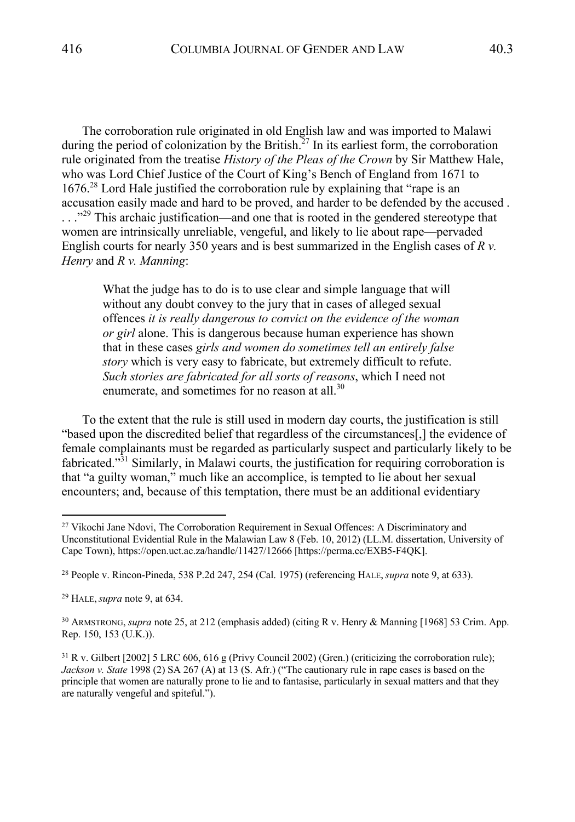The corroboration rule originated in old English law and was imported to Malawi during the period of colonization by the British.<sup>27</sup> In its earliest form, the corroboration rule originated from the treatise *History of the Pleas of the Crown* by Sir Matthew Hale, who was Lord Chief Justice of the Court of King's Bench of England from 1671 to  $1676<sup>28</sup>$  Lord Hale justified the corroboration rule by explaining that "rape is an accusation easily made and hard to be proved, and harder to be defended by the accused . ..."<sup>29</sup> This archaic justification—and one that is rooted in the gendered stereotype that women are intrinsically unreliable, vengeful, and likely to lie about rape—pervaded English courts for nearly 350 years and is best summarized in the English cases of *R v. Henry* and *R v. Manning*:

What the judge has to do is to use clear and simple language that will without any doubt convey to the jury that in cases of alleged sexual offences *it is really dangerous to convict on the evidence of the woman or girl* alone. This is dangerous because human experience has shown that in these cases *girls and women do sometimes tell an entirely false story* which is very easy to fabricate, but extremely difficult to refute. *Such stories are fabricated for all sorts of reasons*, which I need not enumerate, and sometimes for no reason at all.<sup>30</sup>

To the extent that the rule is still used in modern day courts, the justification is still "based upon the discredited belief that regardless of the circumstances[,] the evidence of female complainants must be regarded as particularly suspect and particularly likely to be fabricated."<sup>31</sup> Similarly, in Malawi courts, the justification for requiring corroboration is that "a guilty woman," much like an accomplice, is tempted to lie about her sexual encounters; and, because of this temptation, there must be an additional evidentiary

<sup>&</sup>lt;sup>27</sup> Vikochi Jane Ndovi, The Corroboration Requirement in Sexual Offences: A Discriminatory and Unconstitutional Evidential Rule in the Malawian Law 8 (Feb. 10, 2012) (LL.M. dissertation, University of Cape Town), https://open.uct.ac.za/handle/11427/12666 [https://perma.cc/EXB5-F4QK].

<sup>28</sup> People v. Rincon-Pineda, 538 P.2d 247, 254 (Cal. 1975) (referencing HALE,*supra* note 9, at 633).

<sup>29</sup> HALE,*supra* note 9, at 634.

<sup>30</sup> ARMSTRONG, *supra* note 25, at 212 (emphasis added) (citing R v. Henry & Manning [1968] 53 Crim. App. Rep. 150, 153 (U.K.)).

 $31$  R v. Gilbert [2002] 5 LRC 606, 616 g (Privy Council 2002) (Gren.) (criticizing the corroboration rule); *Jackson v. State* 1998 (2) SA 267 (A) at 13 (S. Afr.) ("The cautionary rule in rape cases is based on the principle that women are naturally prone to lie and to fantasise, particularly in sexual matters and that they are naturally vengeful and spiteful.").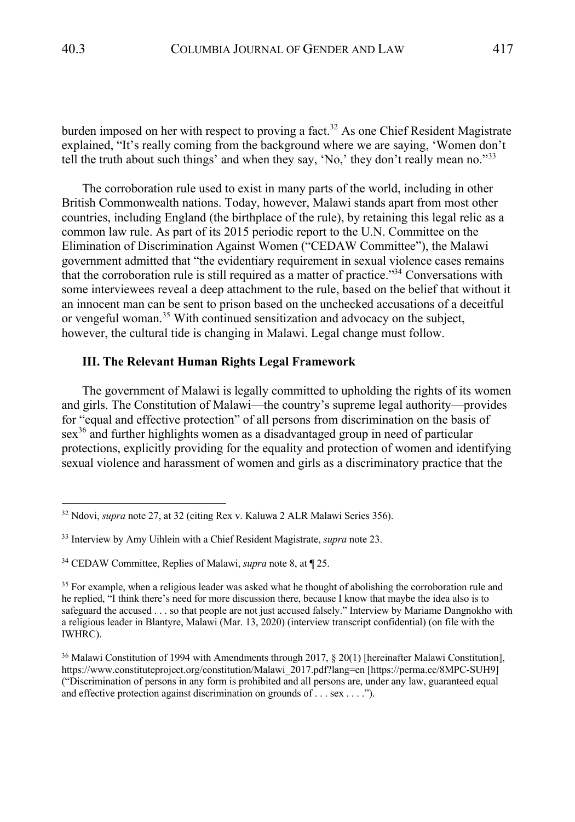burden imposed on her with respect to proving a fact.<sup>32</sup> As one Chief Resident Magistrate explained, "It's really coming from the background where we are saying, 'Women don't tell the truth about such things' and when they say, 'No,' they don't really mean no."<sup>33</sup>

The corroboration rule used to exist in many parts of the world, including in other British Commonwealth nations. Today, however, Malawi stands apart from most other countries, including England (the birthplace of the rule), by retaining this legal relic as a common law rule. As part of its 2015 periodic report to the U.N. Committee on the Elimination of Discrimination Against Women ("CEDAW Committee"), the Malawi government admitted that "the evidentiary requirement in sexual violence cases remains that the corroboration rule is still required as a matter of practice."<sup>34</sup> Conversations with some interviewees reveal a deep attachment to the rule, based on the belief that without it an innocent man can be sent to prison based on the unchecked accusations of a deceitful or vengeful woman.<sup>35</sup> With continued sensitization and advocacy on the subject, however, the cultural tide is changing in Malawi. Legal change must follow.

### **III. The Relevant Human Rights Legal Framework**

The government of Malawi is legally committed to upholding the rights of its women and girls. The Constitution of Malawi—the country's supreme legal authority—provides for "equal and effective protection" of all persons from discrimination on the basis of  $sex<sup>36</sup>$  and further highlights women as a disadvantaged group in need of particular protections, explicitly providing for the equality and protection of women and identifying sexual violence and harassment of women and girls as a discriminatory practice that the

<sup>32</sup> Ndovi, *supra* note 27, at 32 (citing Rex v. Kaluwa 2 ALR Malawi Series 356).

<sup>33</sup> Interview by Amy Uihlein with a Chief Resident Magistrate, *supra* note 23.

<sup>34</sup> CEDAW Committee, Replies of Malawi, *supra* note 8, at ¶ 25.

<sup>&</sup>lt;sup>35</sup> For example, when a religious leader was asked what he thought of abolishing the corroboration rule and he replied, "I think there's need for more discussion there, because I know that maybe the idea also is to safeguard the accused . . . so that people are not just accused falsely." Interview by Mariame Dangnokho with a religious leader in Blantyre, Malawi (Mar. 13, 2020) (interview transcript confidential) (on file with the IWHRC).

<sup>36</sup> Malawi Constitution of 1994 with Amendments through 2017, § 20(1) [hereinafter Malawi Constitution], https://www.constituteproject.org/constitution/Malawi\_2017.pdf?lang=en [https://perma.cc/8MPC-SUH9] ("Discrimination of persons in any form is prohibited and all persons are, under any law, guaranteed equal and effective protection against discrimination on grounds of . . . sex . . . .").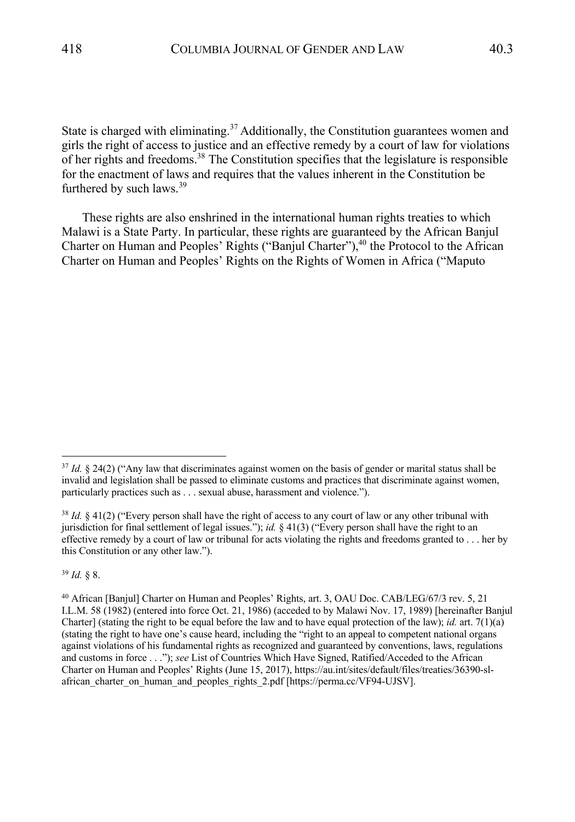State is charged with eliminating.<sup>37</sup> Additionally, the Constitution guarantees women and girls the right of access to justice and an effective remedy by a court of law for violations of her rights and freedoms.38 The Constitution specifies that the legislature is responsible for the enactment of laws and requires that the values inherent in the Constitution be furthered by such laws. $39$ 

These rights are also enshrined in the international human rights treaties to which Malawi is a State Party. In particular, these rights are guaranteed by the African Banjul Charter on Human and Peoples' Rights ("Banjul Charter"),<sup>40</sup> the Protocol to the African Charter on Human and Peoples' Rights on the Rights of Women in Africa ("Maputo

<sup>39</sup> *Id.* § 8.

<sup>&</sup>lt;sup>37</sup> *Id.* § 24(2) ("Any law that discriminates against women on the basis of gender or marital status shall be invalid and legislation shall be passed to eliminate customs and practices that discriminate against women, particularly practices such as . . . sexual abuse, harassment and violence.").

<sup>38</sup> *Id.* § 41(2) ("Every person shall have the right of access to any court of law or any other tribunal with jurisdiction for final settlement of legal issues."); *id.* § 41(3) ("Every person shall have the right to an effective remedy by a court of law or tribunal for acts violating the rights and freedoms granted to . . . her by this Constitution or any other law.").

<sup>40</sup> African [Banjul] Charter on Human and Peoples' Rights, art. 3, OAU Doc. CAB/LEG/67/3 rev. 5, 21 I.L.M. 58 (1982) (entered into force Oct. 21, 1986) (acceded to by Malawi Nov. 17, 1989) [hereinafter Banjul Charter] (stating the right to be equal before the law and to have equal protection of the law); *id.* art. 7(1)(a) (stating the right to have one's cause heard, including the "right to an appeal to competent national organs against violations of his fundamental rights as recognized and guaranteed by conventions, laws, regulations and customs in force . . ."); *see* List of Countries Which Have Signed, Ratified/Acceded to the African Charter on Human and Peoples' Rights (June 15, 2017), https://au.int/sites/default/files/treaties/36390-slafrican charter on human and peoples rights 2.pdf [https://perma.cc/VF94-UJSV].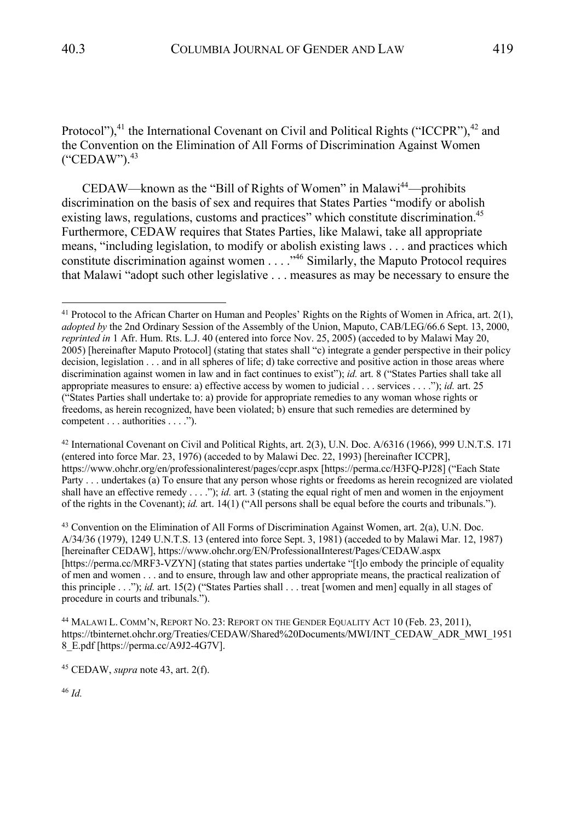Protocol"), $41$  the International Covenant on Civil and Political Rights ("ICCPR"), $42$  and the Convention on the Elimination of All Forms of Discrimination Against Women  $("CEDAW")$ .  $43$ 

CEDAW—known as the "Bill of Rights of Women" in Malawi<sup>44</sup>—prohibits discrimination on the basis of sex and requires that States Parties "modify or abolish existing laws, regulations, customs and practices" which constitute discrimination.<sup>45</sup> Furthermore, CEDAW requires that States Parties, like Malawi, take all appropriate means, "including legislation, to modify or abolish existing laws . . . and practices which constitute discrimination against women . . . ."46 Similarly, the Maputo Protocol requires that Malawi "adopt such other legislative . . . measures as may be necessary to ensure the

<sup>42</sup> International Covenant on Civil and Political Rights, art. 2(3), U.N. Doc. A/6316 (1966), 999 U.N.T.S. 171 (entered into force Mar. 23, 1976) (acceded to by Malawi Dec. 22, 1993) [hereinafter ICCPR], https://www.ohchr.org/en/professionalinterest/pages/ccpr.aspx [https://perma.cc/H3FQ-PJ28] ("Each State Party . . . undertakes (a) To ensure that any person whose rights or freedoms as herein recognized are violated shall have an effective remedy . . . ."); *id.* art. 3 (stating the equal right of men and women in the enjoyment of the rights in the Covenant); *id.* art. 14(1) ("All persons shall be equal before the courts and tribunals.").

 $43$  Convention on the Elimination of All Forms of Discrimination Against Women, art. 2(a), U.N. Doc. A/34/36 (1979), 1249 U.N.T.S. 13 (entered into force Sept. 3, 1981) (acceded to by Malawi Mar. 12, 1987) [hereinafter CEDAW], https://www.ohchr.org/EN/ProfessionalInterest/Pages/CEDAW.aspx [https://perma.cc/MRF3-VZYN] (stating that states parties undertake "[t]o embody the principle of equality of men and women . . . and to ensure, through law and other appropriate means, the practical realization of this principle . . ."); *id.* art. 15(2) ("States Parties shall . . . treat [women and men] equally in all stages of procedure in courts and tribunals.").

<sup>46</sup> *Id.*

<sup>&</sup>lt;sup>41</sup> Protocol to the African Charter on Human and Peoples' Rights on the Rights of Women in Africa, art.  $2(1)$ , *adopted by* the 2nd Ordinary Session of the Assembly of the Union, Maputo, CAB/LEG/66.6 Sept. 13, 2000, *reprinted in* 1 Afr. Hum. Rts. L.J. 40 (entered into force Nov. 25, 2005) (acceded to by Malawi May 20, 2005) [hereinafter Maputo Protocol] (stating that states shall "c) integrate a gender perspective in their policy decision, legislation . . . and in all spheres of life; d) take corrective and positive action in those areas where discrimination against women in law and in fact continues to exist"); *id.* art. 8 ("States Parties shall take all appropriate measures to ensure: a) effective access by women to judicial . . . services . . . ."); *id.* art. 25 ("States Parties shall undertake to: a) provide for appropriate remedies to any woman whose rights or freedoms, as herein recognized, have been violated; b) ensure that such remedies are determined by competent . . . authorities . . . .").

<sup>44</sup> MALAWI L. COMM'N, REPORT NO. 23: REPORT ON THE GENDER EQUALITY ACT 10 (Feb. 23, 2011), https://tbinternet.ohchr.org/Treaties/CEDAW/Shared%20Documents/MWI/INT\_CEDAW\_ADR\_MWI\_1951 8\_E.pdf [https://perma.cc/A9J2-4G7V].

<sup>45</sup> CEDAW, *supra* note 43, art. 2(f).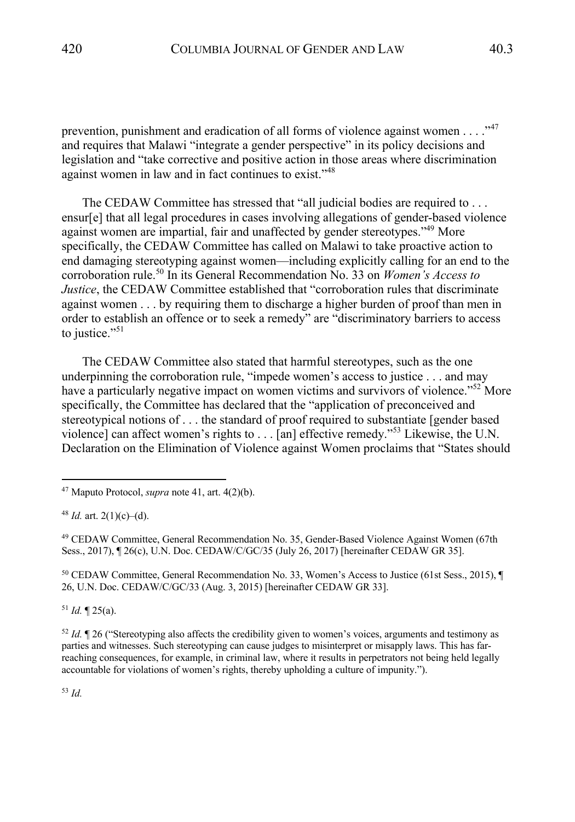prevention, punishment and eradication of all forms of violence against women  $\dots$ ."<sup>47</sup> and requires that Malawi "integrate a gender perspective" in its policy decisions and legislation and "take corrective and positive action in those areas where discrimination against women in law and in fact continues to exist."<sup>48</sup>

The CEDAW Committee has stressed that "all judicial bodies are required to . . . ensur[e] that all legal procedures in cases involving allegations of gender-based violence against women are impartial, fair and unaffected by gender stereotypes."<sup>49</sup> More specifically, the CEDAW Committee has called on Malawi to take proactive action to end damaging stereotyping against women—including explicitly calling for an end to the corroboration rule.<sup>50</sup> In its General Recommendation No. 33 on *Women's Access to Justice*, the CEDAW Committee established that "corroboration rules that discriminate against women . . . by requiring them to discharge a higher burden of proof than men in order to establish an offence or to seek a remedy" are "discriminatory barriers to access to justice."<sup>51</sup>

The CEDAW Committee also stated that harmful stereotypes, such as the one underpinning the corroboration rule, "impede women's access to justice . . . and may have a particularly negative impact on women victims and survivors of violence."<sup>52</sup> More specifically, the Committee has declared that the "application of preconceived and stereotypical notions of . . . the standard of proof required to substantiate [gender based violence] can affect women's rights to  $\dots$  [an] effective remedy."<sup>53</sup> Likewise, the U.N. Declaration on the Elimination of Violence against Women proclaims that "States should

<sup>49</sup> CEDAW Committee, General Recommendation No. 35, Gender-Based Violence Against Women (67th Sess., 2017), ¶ 26(c), U.N. Doc. CEDAW/C/GC/35 (July 26, 2017) [hereinafter CEDAW GR 35].

<sup>50</sup> CEDAW Committee, General Recommendation No. 33, Women's Access to Justice (61st Sess., 2015), ¶ 26, U.N. Doc. CEDAW/C/GC/33 (Aug. 3, 2015) [hereinafter CEDAW GR 33].

 $51$  *Id.*  $\sqrt{25(a)}$ .

<sup>52</sup> *Id.* ¶ 26 ("Stereotyping also affects the credibility given to women's voices, arguments and testimony as parties and witnesses. Such stereotyping can cause judges to misinterpret or misapply laws. This has farreaching consequences, for example, in criminal law, where it results in perpetrators not being held legally accountable for violations of women's rights, thereby upholding a culture of impunity.").

<sup>53</sup> *Id.*

<sup>47</sup> Maputo Protocol, *supra* note 41, art. 4(2)(b).

 $48$  *Id.* art. 2(1)(c)–(d).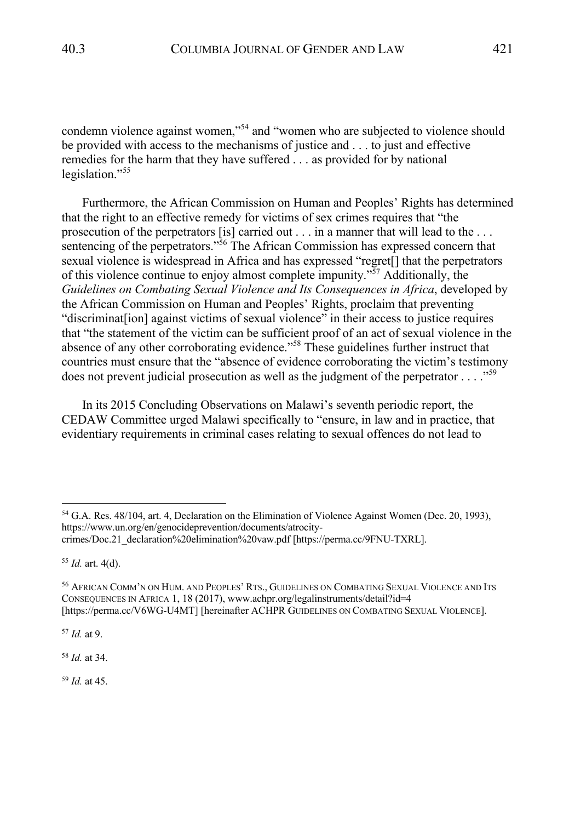condemn violence against women,"54 and "women who are subjected to violence should be provided with access to the mechanisms of justice and . . . to just and effective remedies for the harm that they have suffered . . . as provided for by national legislation."<sup>55</sup>

Furthermore, the African Commission on Human and Peoples' Rights has determined that the right to an effective remedy for victims of sex crimes requires that "the prosecution of the perpetrators [is] carried out . . . in a manner that will lead to the . . . sentencing of the perpetrators."<sup>56</sup> The African Commission has expressed concern that sexual violence is widespread in Africa and has expressed "regret[] that the perpetrators of this violence continue to enjoy almost complete impunity."57 Additionally, the *Guidelines on Combating Sexual Violence and Its Consequences in Africa*, developed by the African Commission on Human and Peoples' Rights, proclaim that preventing "discriminat[ion] against victims of sexual violence" in their access to justice requires that "the statement of the victim can be sufficient proof of an act of sexual violence in the absence of any other corroborating evidence."<sup>58</sup> These guidelines further instruct that countries must ensure that the "absence of evidence corroborating the victim's testimony does not prevent judicial prosecution as well as the judgment of the perpetrator  $\dots$ ."<sup>59</sup>

In its 2015 Concluding Observations on Malawi's seventh periodic report, the CEDAW Committee urged Malawi specifically to "ensure, in law and in practice, that evidentiary requirements in criminal cases relating to sexual offences do not lead to

<sup>57</sup> *Id.* at 9.

<sup>58</sup> *Id.* at 34.

<sup>59</sup> *Id.* at 45.

<sup>54</sup> G.A. Res. 48/104, art. 4, Declaration on the Elimination of Violence Against Women (Dec. 20, 1993), https://www.un.org/en/genocideprevention/documents/atrocitycrimes/Doc.21\_declaration%20elimination%20vaw.pdf [https://perma.cc/9FNU-TXRL].

<sup>55</sup> *Id.* art. 4(d).

<sup>56</sup> AFRICAN COMM'N ON HUM. AND PEOPLES' RTS., GUIDELINES ON COMBATING SEXUAL VIOLENCE AND ITS CONSEQUENCES IN AFRICA 1, 18 (2017), www.achpr.org/legalinstruments/detail?id=4 [https://perma.cc/V6WG-U4MT] [hereinafter ACHPR GUIDELINES ON COMBATING SEXUAL VIOLENCE].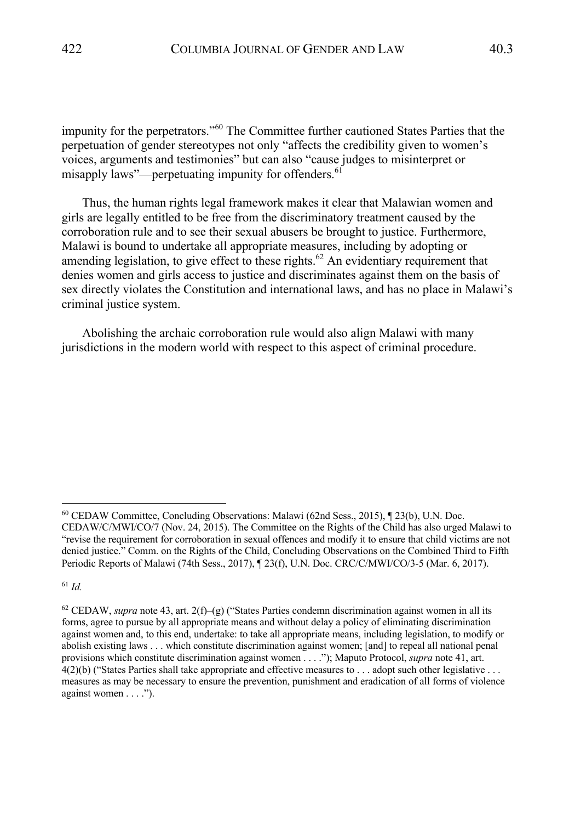impunity for the perpetrators."<sup>60</sup> The Committee further cautioned States Parties that the perpetuation of gender stereotypes not only "affects the credibility given to women's voices, arguments and testimonies" but can also "cause judges to misinterpret or misapply laws"—perpetuating impunity for offenders.  $61$ 

Thus, the human rights legal framework makes it clear that Malawian women and girls are legally entitled to be free from the discriminatory treatment caused by the corroboration rule and to see their sexual abusers be brought to justice. Furthermore, Malawi is bound to undertake all appropriate measures, including by adopting or amending legislation, to give effect to these rights.<sup>62</sup> An evidentiary requirement that denies women and girls access to justice and discriminates against them on the basis of sex directly violates the Constitution and international laws, and has no place in Malawi's criminal justice system.

Abolishing the archaic corroboration rule would also align Malawi with many jurisdictions in the modern world with respect to this aspect of criminal procedure.

<sup>61</sup> *Id.*

<sup>60</sup> CEDAW Committee, Concluding Observations: Malawi (62nd Sess., 2015), ¶ 23(b), U.N. Doc. CEDAW/C/MWI/CO/7 (Nov. 24, 2015). The Committee on the Rights of the Child has also urged Malawi to "revise the requirement for corroboration in sexual offences and modify it to ensure that child victims are not denied justice." Comm. on the Rights of the Child, Concluding Observations on the Combined Third to Fifth Periodic Reports of Malawi (74th Sess., 2017), ¶ 23(f), U.N. Doc. CRC/C/MWI/CO/3-5 (Mar. 6, 2017).

<sup>&</sup>lt;sup>62</sup> CEDAW, *supra* note 43, art. 2(f)–(g) ("States Parties condemn discrimination against women in all its forms, agree to pursue by all appropriate means and without delay a policy of eliminating discrimination against women and, to this end, undertake: to take all appropriate means, including legislation, to modify or abolish existing laws . . . which constitute discrimination against women; [and] to repeal all national penal provisions which constitute discrimination against women . . . ."); Maputo Protocol, *supra* note 41, art. 4(2)(b) ("States Parties shall take appropriate and effective measures to . . . adopt such other legislative . . . measures as may be necessary to ensure the prevention, punishment and eradication of all forms of violence against women . . . .").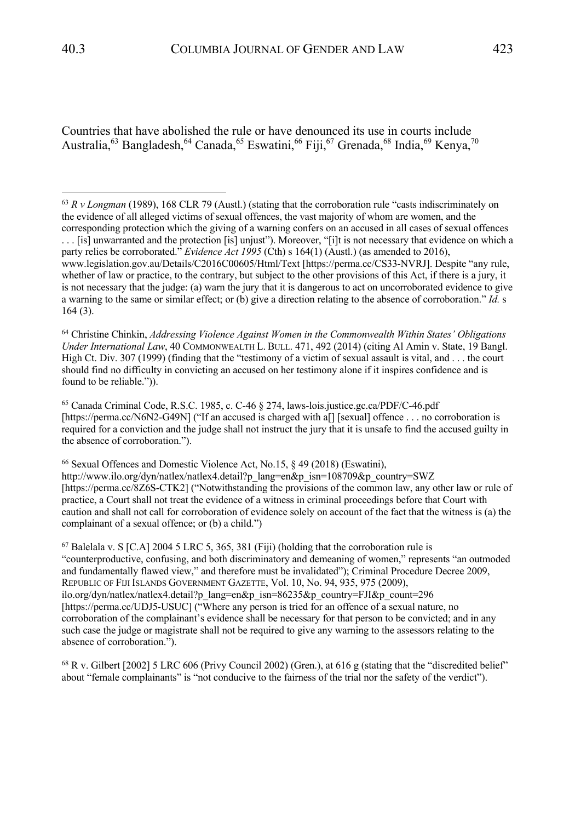Countries that have abolished the rule or have denounced its use in courts include Australia,  $^{63}$  Bangladesh,  $^{64}$  Canada,  $^{65}$  Eswatini,  $^{66}$  Fiji,  $^{67}$  Grenada,  $^{68}$  India,  $^{69}$  Kenya,  $^{70}$ 

<sup>64</sup> Christine Chinkin, *Addressing Violence Against Women in the Commonwealth Within States' Obligations Under International Law*, 40 COMMONWEALTH L. BULL. 471, 492 (2014) (citing Al Amin v. State, 19 Bangl. High Ct. Div. 307 (1999) (finding that the "testimony of a victim of sexual assault is vital, and . . . the court should find no difficulty in convicting an accused on her testimony alone if it inspires confidence and is found to be reliable.")).

<sup>65</sup> Canada Criminal Code, R.S.C. 1985, c. C-46 § 274, laws-lois.justice.gc.ca/PDF/C-46.pdf [https://perma.cc/N6N2-G49N] ("If an accused is charged with a[] [sexual] offence . . . no corroboration is required for a conviction and the judge shall not instruct the jury that it is unsafe to find the accused guilty in the absence of corroboration.").

<sup>66</sup> Sexual Offences and Domestic Violence Act, No.15, § 49 (2018) (Eswatini), http://www.ilo.org/dyn/natlex/natlex4.detail?p\_lang=en&p\_isn=108709&p\_country=SWZ [https://perma.cc/8Z6S-CTK2] ("Notwithstanding the provisions of the common law, any other law or rule of practice, a Court shall not treat the evidence of a witness in criminal proceedings before that Court with caution and shall not call for corroboration of evidence solely on account of the fact that the witness is (a) the complainant of a sexual offence; or (b) a child.")

 $67$  Balelala v. S [C.A] 2004 5 LRC 5, 365, 381 (Fiji) (holding that the corroboration rule is "counterproductive, confusing, and both discriminatory and demeaning of women," represents "an outmoded and fundamentally flawed view," and therefore must be invalidated"); Criminal Procedure Decree 2009, REPUBLIC OF FIJI ISLANDS GOVERNMENT GAZETTE, Vol. 10, No. 94, 935, 975 (2009), ilo.org/dyn/natlex/natlex4.detail?p\_lang=en&p\_isn=86235&p\_country=FJI&p\_count=296 [https://perma.cc/UDJ5-USUC] ("Where any person is tried for an offence of a sexual nature, no corroboration of the complainant's evidence shall be necessary for that person to be convicted; and in any such case the judge or magistrate shall not be required to give any warning to the assessors relating to the absence of corroboration.").

 $^{68}$  R v. Gilbert [2002] 5 LRC 606 (Privy Council 2002) (Gren.), at 616 g (stating that the "discredited belief" about "female complainants" is "not conducive to the fairness of the trial nor the safety of the verdict").

<sup>63</sup> *R v Longman* (1989), 168 CLR 79 (Austl.) (stating that the corroboration rule "casts indiscriminately on the evidence of all alleged victims of sexual offences, the vast majority of whom are women, and the corresponding protection which the giving of a warning confers on an accused in all cases of sexual offences . . . [is] unwarranted and the protection [is] unjust"). Moreover, "[i]t is not necessary that evidence on which a party relies be corroborated." *Evidence Act 1995* (Cth) s 164(1) (Austl.) (as amended to 2016), www.legislation.gov.au/Details/C2016C00605/Html/Text [https://perma.cc/CS33-NVRJ]. Despite "any rule, whether of law or practice, to the contrary, but subject to the other provisions of this Act, if there is a jury, it is not necessary that the judge: (a) warn the jury that it is dangerous to act on uncorroborated evidence to give a warning to the same or similar effect; or (b) give a direction relating to the absence of corroboration." *Id.* s 164 (3).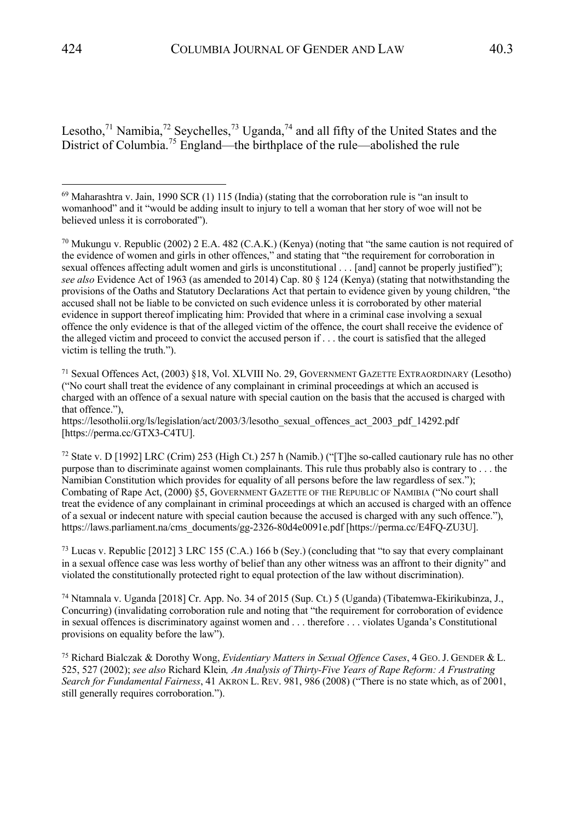Lesotho,<sup>71</sup> Namibia,<sup>72</sup> Seychelles,<sup>73</sup> Uganda,<sup>74</sup> and all fifty of the United States and the District of Columbia.<sup>75</sup> England—the birthplace of the rule—abolished the rule

<sup>71</sup> Sexual Offences Act, (2003) §18, Vol. XLVIII No. 29, GOVERNMENT GAZETTE EXTRAORDINARY (Lesotho) ("No court shall treat the evidence of any complainant in criminal proceedings at which an accused is charged with an offence of a sexual nature with special caution on the basis that the accused is charged with that offence."),

https://lesotholii.org/ls/legislation/act/2003/3/lesotho\_sexual\_offences\_act\_2003\_pdf\_14292.pdf [https://perma.cc/GTX3-C4TU].

<sup>72</sup> State v. D [1992] LRC (Crim) 253 (High Ct.) 257 h (Namib.) ("[T]he so-called cautionary rule has no other purpose than to discriminate against women complainants. This rule thus probably also is contrary to . . . the Namibian Constitution which provides for equality of all persons before the law regardless of sex."); Combating of Rape Act, (2000) §5, GOVERNMENT GAZETTE OF THE REPUBLIC OF NAMIBIA ("No court shall treat the evidence of any complainant in criminal proceedings at which an accused is charged with an offence of a sexual or indecent nature with special caution because the accused is charged with any such offence."), https://laws.parliament.na/cms\_documents/gg-2326-80d4e0091e.pdf [https://perma.cc/E4FQ-ZU3U].

<sup>73</sup> Lucas v. Republic [2012] 3 LRC 155 (C.A.) 166 b (Sey.) (concluding that "to say that every complainant in a sexual offence case was less worthy of belief than any other witness was an affront to their dignity" and violated the constitutionally protected right to equal protection of the law without discrimination).

<sup>74</sup> Ntamnala v. Uganda [2018] Cr. App. No. 34 of 2015 (Sup. Ct.) 5 (Uganda) (Tibatemwa-Ekirikubinza, J., Concurring) (invalidating corroboration rule and noting that "the requirement for corroboration of evidence in sexual offences is discriminatory against women and . . . therefore . . . violates Uganda's Constitutional provisions on equality before the law").

<sup>75</sup> Richard Bialczak & Dorothy Wong, *Evidentiary Matters in Sexual Offence Cases*, 4 GEO.J. GENDER & L. 525, 527 (2002); *see also* Richard Klein*, An Analysis of Thirty-Five Years of Rape Reform: A Frustrating Search for Fundamental Fairness*, 41 AKRON L. REV. 981, 986 (2008) ("There is no state which, as of 2001, still generally requires corroboration.").

<sup>69</sup> Maharashtra v. Jain, 1990 SCR (1) 115 (India) (stating that the corroboration rule is "an insult to womanhood" and it "would be adding insult to injury to tell a woman that her story of woe will not be believed unless it is corroborated").

<sup>&</sup>lt;sup>70</sup> Mukungu v. Republic (2002) 2 E.A. 482 (C.A.K.) (Kenya) (noting that "the same caution is not required of the evidence of women and girls in other offences," and stating that "the requirement for corroboration in sexual offences affecting adult women and girls is unconstitutional . . . [and] cannot be properly justified"); *see also* Evidence Act of 1963 (as amended to 2014) Cap. 80 § 124 (Kenya) (stating that notwithstanding the provisions of the Oaths and Statutory Declarations Act that pertain to evidence given by young children, "the accused shall not be liable to be convicted on such evidence unless it is corroborated by other material evidence in support thereof implicating him: Provided that where in a criminal case involving a sexual offence the only evidence is that of the alleged victim of the offence, the court shall receive the evidence of the alleged victim and proceed to convict the accused person if . . . the court is satisfied that the alleged victim is telling the truth.").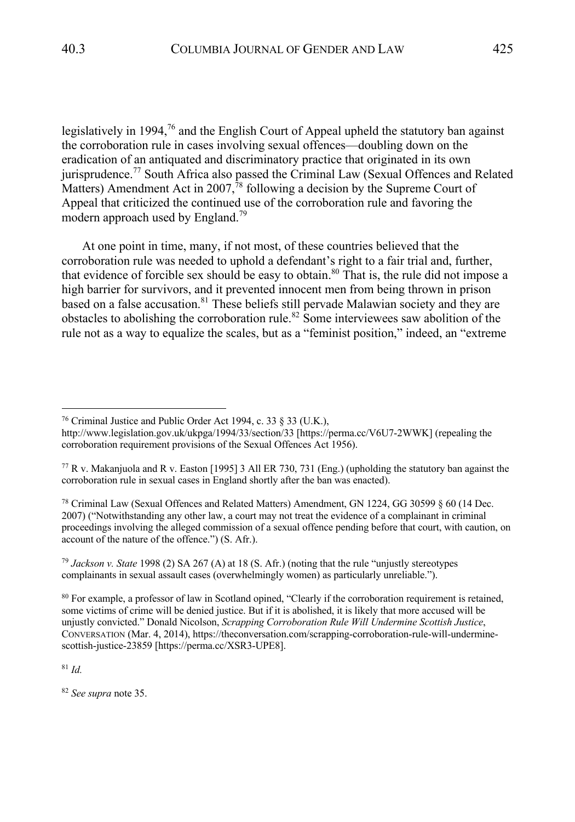legislatively in 1994, $76$  and the English Court of Appeal upheld the statutory ban against the corroboration rule in cases involving sexual offences—doubling down on the eradication of an antiquated and discriminatory practice that originated in its own jurisprudence.<sup>77</sup> South Africa also passed the Criminal Law (Sexual Offences and Related Matters) Amendment Act in  $2007$ ,<sup>78</sup> following a decision by the Supreme Court of Appeal that criticized the continued use of the corroboration rule and favoring the modern approach used by England.<sup>79</sup>

At one point in time, many, if not most, of these countries believed that the corroboration rule was needed to uphold a defendant's right to a fair trial and, further, that evidence of forcible sex should be easy to obtain. <sup>80</sup> That is, the rule did not impose a high barrier for survivors, and it prevented innocent men from being thrown in prison based on a false accusation.<sup>81</sup> These beliefs still pervade Malawian society and they are obstacles to abolishing the corroboration rule.<sup>82</sup> Some interviewees saw abolition of the rule not as a way to equalize the scales, but as a "feminist position," indeed, an "extreme

<sup>78</sup> Criminal Law (Sexual Offences and Related Matters) Amendment, GN 1224, GG 30599 § 60 (14 Dec. 2007) ("Notwithstanding any other law, a court may not treat the evidence of a complainant in criminal proceedings involving the alleged commission of a sexual offence pending before that court, with caution, on account of the nature of the offence.") (S. Afr.).

<sup>79</sup> *Jackson v. State* 1998 (2) SA 267 (A) at 18 (S. Afr.) (noting that the rule "unjustly stereotypes complainants in sexual assault cases (overwhelmingly women) as particularly unreliable.").

<sup>80</sup> For example, a professor of law in Scotland opined, "Clearly if the corroboration requirement is retained, some victims of crime will be denied justice. But if it is abolished, it is likely that more accused will be unjustly convicted." Donald Nicolson, *Scrapping Corroboration Rule Will Undermine Scottish Justice*, CONVERSATION (Mar. 4, 2014), https://theconversation.com/scrapping-corroboration-rule-will-underminescottish-justice-23859 [https://perma.cc/XSR3-UPE8].

<sup>81</sup> *Id.*

<sup>82</sup> *See supra* note 35.

<sup>76</sup> Criminal Justice and Public Order Act 1994, c. 33 § 33 (U.K.),

http://www.legislation.gov.uk/ukpga/1994/33/section/33 [https://perma.cc/V6U7-2WWK] (repealing the corroboration requirement provisions of the Sexual Offences Act 1956).

 $^{77}$  R v. Makanjuola and R v. Easton [1995] 3 All ER 730, 731 (Eng.) (upholding the statutory ban against the corroboration rule in sexual cases in England shortly after the ban was enacted).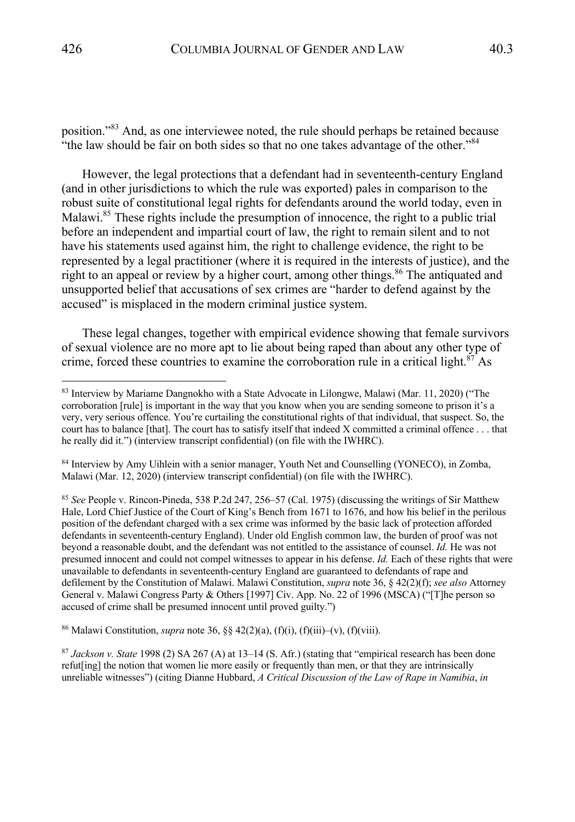position."<sup>83</sup> And, as one interviewee noted, the rule should perhaps be retained because "the law should be fair on both sides so that no one takes advantage of the other."<sup>84</sup>

However, the legal protections that a defendant had in seventeenth-century England (and in other jurisdictions to which the rule was exported) pales in comparison to the robust suite of constitutional legal rights for defendants around the world today, even in Malawi.<sup>85</sup> These rights include the presumption of innocence, the right to a public trial before an independent and impartial court of law, the right to remain silent and to not have his statements used against him, the right to challenge evidence, the right to be represented by a legal practitioner (where it is required in the interests of justice), and the right to an appeal or review by a higher court, among other things.<sup>86</sup> The antiquated and unsupported belief that accusations of sex crimes are "harder to defend against by the accused" is misplaced in the modern criminal justice system.

These legal changes, together with empirical evidence showing that female survivors of sexual violence are no more apt to lie about being raped than about any other type of crime, forced these countries to examine the corroboration rule in a critical light. $87$  As

<sup>84</sup> Interview by Amy Uihlein with a senior manager, Youth Net and Counselling (YONECO), in Zomba, Malawi (Mar. 12, 2020) (interview transcript confidential) (on file with the IWHRC).

<sup>85</sup> *See* People v. Rincon-Pineda, 538 P.2d 247, 256–57 (Cal. 1975) (discussing the writings of Sir Matthew Hale, Lord Chief Justice of the Court of King's Bench from 1671 to 1676, and how his belief in the perilous position of the defendant charged with a sex crime was informed by the basic lack of protection afforded defendants in seventeenth-century England). Under old English common law, the burden of proof was not beyond a reasonable doubt, and the defendant was not entitled to the assistance of counsel. *Id.* He was not presumed innocent and could not compel witnesses to appear in his defense. *Id.* Each of these rights that were unavailable to defendants in seventeenth-century England are guaranteed to defendants of rape and defilement by the Constitution of Malawi. Malawi Constitution, *supra* note 36, § 42(2)(f); *see also* Attorney General v. Malawi Congress Party & Others [1997] Civ. App. No. 22 of 1996 (MSCA) ("[T]he person so accused of crime shall be presumed innocent until proved guilty.")

<sup>86</sup> Malawi Constitution, *supra* note 36, §§ 42(2)(a), (f)(i), (f)(iii)–(v), (f)(viii).

<sup>87</sup> *Jackson v. State* 1998 (2) SA 267 (A) at 13–14 (S. Afr.) (stating that "empirical research has been done refut[ing] the notion that women lie more easily or frequently than men, or that they are intrinsically unreliable witnesses") (citing Dianne Hubbard, *A Critical Discussion of the Law of Rape in Namibia*, *in*

<sup>83</sup> Interview by Mariame Dangnokho with a State Advocate in Lilongwe, Malawi (Mar. 11, 2020) ("The corroboration [rule] is important in the way that you know when you are sending someone to prison it's a very, very serious offence. You're curtailing the constitutional rights of that individual, that suspect. So, the court has to balance [that]. The court has to satisfy itself that indeed X committed a criminal offence . . . that he really did it.") (interview transcript confidential) (on file with the IWHRC).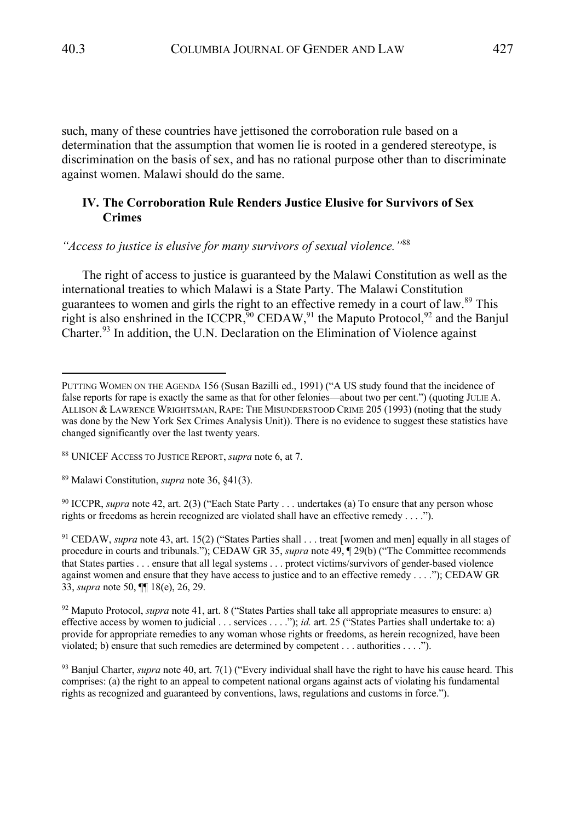such, many of these countries have jettisoned the corroboration rule based on a determination that the assumption that women lie is rooted in a gendered stereotype, is discrimination on the basis of sex, and has no rational purpose other than to discriminate against women. Malawi should do the same.

# **IV. The Corroboration Rule Renders Justice Elusive for Survivors of Sex Crimes**

*"Access to justice is elusive for many survivors of sexual violence."*<sup>88</sup>

The right of access to justice is guaranteed by the Malawi Constitution as well as the international treaties to which Malawi is a State Party. The Malawi Constitution guarantees to women and girls the right to an effective remedy in a court of law.<sup>89</sup> This right is also enshrined in the ICCPR,<sup>90</sup> CEDAW,<sup>91</sup> the Maputo Protocol,<sup>92</sup> and the Banjul Charter.<sup>93</sup> In addition, the U.N. Declaration on the Elimination of Violence against

<sup>90</sup> ICCPR, *supra* note 42, art. 2(3) ("Each State Party . . . undertakes (a) To ensure that any person whose rights or freedoms as herein recognized are violated shall have an effective remedy . . . .").

<sup>91</sup> CEDAW, *supra* note 43, art. 15(2) ("States Parties shall . . . treat [women and men] equally in all stages of procedure in courts and tribunals."); CEDAW GR 35, *supra* note 49, ¶ 29(b) ("The Committee recommends that States parties . . . ensure that all legal systems . . . protect victims/survivors of gender-based violence against women and ensure that they have access to justice and to an effective remedy . . . ."); CEDAW GR 33, *supra* note 50, ¶¶ 18(e), 26, 29.

<sup>92</sup> Maputo Protocol, *supra* note 41, art. 8 ("States Parties shall take all appropriate measures to ensure: a) effective access by women to judicial . . . services . . . ."); *id.* art. 25 ("States Parties shall undertake to: a) provide for appropriate remedies to any woman whose rights or freedoms, as herein recognized, have been violated; b) ensure that such remedies are determined by competent . . . authorities . . . .").

<sup>93</sup> Banjul Charter, *supra* note 40, art. 7(1) ("Every individual shall have the right to have his cause heard. This comprises: (a) the right to an appeal to competent national organs against acts of violating his fundamental rights as recognized and guaranteed by conventions, laws, regulations and customs in force.").

PUTTING WOMEN ON THE AGENDA 156 (Susan Bazilli ed., 1991) ("A US study found that the incidence of false reports for rape is exactly the same as that for other felonies—about two per cent.") (quoting JULIE A. ALLISON & LAWRENCE WRIGHTSMAN, RAPE: THE MISUNDERSTOOD CRIME 205 (1993) (noting that the study was done by the New York Sex Crimes Analysis Unit)). There is no evidence to suggest these statistics have changed significantly over the last twenty years.

<sup>88</sup> UNICEF ACCESS TO JUSTICE REPORT, *supra* note 6, at 7.

<sup>89</sup> Malawi Constitution, *supra* note 36, §41(3).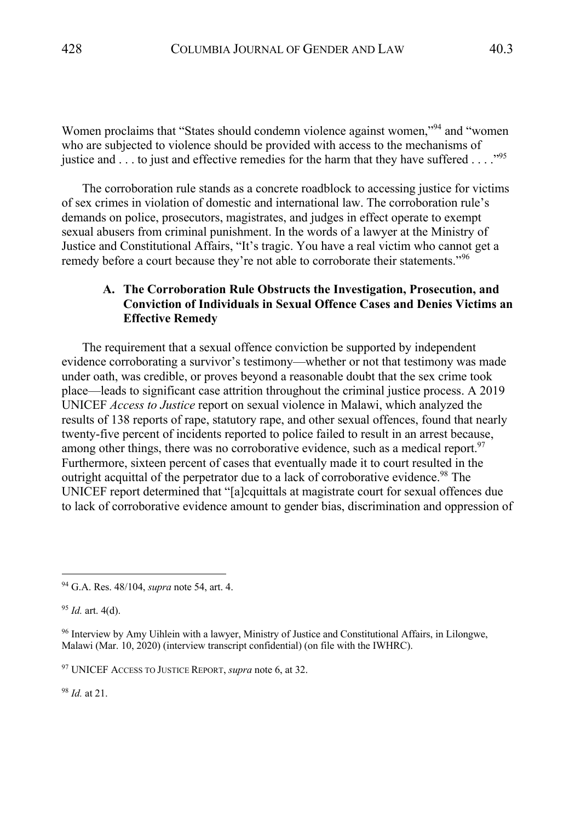Women proclaims that "States should condemn violence against women,"94 and "women who are subjected to violence should be provided with access to the mechanisms of justice and  $\dots$  to just and effective remedies for the harm that they have suffered  $\dots$ ."<sup>95</sup>

The corroboration rule stands as a concrete roadblock to accessing justice for victims of sex crimes in violation of domestic and international law. The corroboration rule's demands on police, prosecutors, magistrates, and judges in effect operate to exempt sexual abusers from criminal punishment. In the words of a lawyer at the Ministry of Justice and Constitutional Affairs, "It's tragic. You have a real victim who cannot get a remedy before a court because they're not able to corroborate their statements."<sup>96</sup>

# **A. The Corroboration Rule Obstructs the Investigation, Prosecution, and Conviction of Individuals in Sexual Offence Cases and Denies Victims an Effective Remedy**

The requirement that a sexual offence conviction be supported by independent evidence corroborating a survivor's testimony—whether or not that testimony was made under oath, was credible, or proves beyond a reasonable doubt that the sex crime took place—leads to significant case attrition throughout the criminal justice process. A 2019 UNICEF *Access to Justice* report on sexual violence in Malawi, which analyzed the results of 138 reports of rape, statutory rape, and other sexual offences, found that nearly twenty-five percent of incidents reported to police failed to result in an arrest because, among other things, there was no corroborative evidence, such as a medical report.<sup>97</sup> Furthermore, sixteen percent of cases that eventually made it to court resulted in the outright acquittal of the perpetrator due to a lack of corroborative evidence.<sup>98</sup> The UNICEF report determined that "[a]cquittals at magistrate court for sexual offences due to lack of corroborative evidence amount to gender bias, discrimination and oppression of

<sup>98</sup> *Id.* at 21.

<sup>94</sup> G.A. Res. 48/104, *supra* note 54, art. 4.

<sup>95</sup> *Id.* art. 4(d).

<sup>96</sup> Interview by Amy Uihlein with a lawyer, Ministry of Justice and Constitutional Affairs, in Lilongwe, Malawi (Mar. 10, 2020) (interview transcript confidential) (on file with the IWHRC).

<sup>97</sup> UNICEF ACCESS TO JUSTICE REPORT, *supra* note 6, at 32.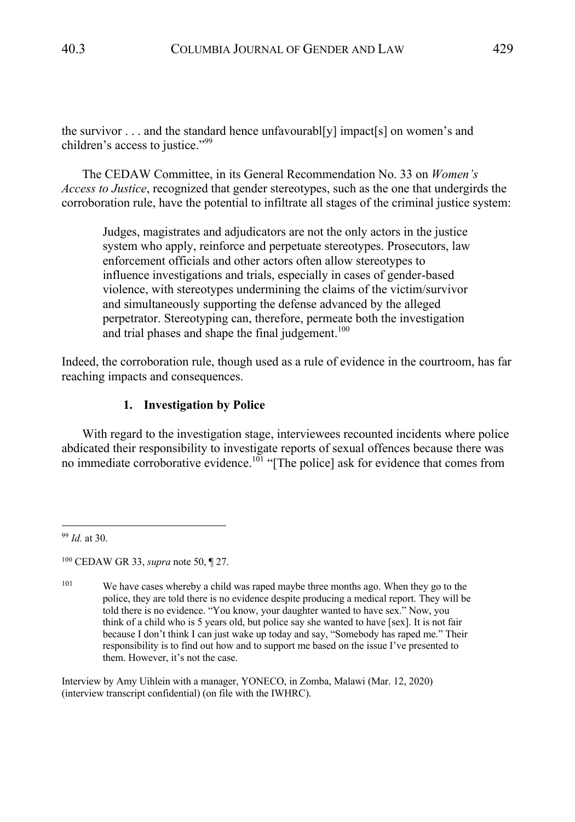the survivor  $\dots$  and the standard hence unfavourable is impact s and the survivor  $\dots$  and children's access to justice."<sup>99</sup>

The CEDAW Committee, in its General Recommendation No. 33 on *Women's Access to Justice*, recognized that gender stereotypes, such as the one that undergirds the corroboration rule, have the potential to infiltrate all stages of the criminal justice system:

Judges, magistrates and adjudicators are not the only actors in the justice system who apply, reinforce and perpetuate stereotypes. Prosecutors, law enforcement officials and other actors often allow stereotypes to influence investigations and trials, especially in cases of gender-based violence, with stereotypes undermining the claims of the victim/survivor and simultaneously supporting the defense advanced by the alleged perpetrator. Stereotyping can, therefore, permeate both the investigation and trial phases and shape the final judgement. $100$ 

Indeed, the corroboration rule, though used as a rule of evidence in the courtroom, has far reaching impacts and consequences.

### **1. Investigation by Police**

With regard to the investigation stage, interviewees recounted incidents where police abdicated their responsibility to investigate reports of sexual offences because there was no immediate corroborative evidence.<sup>101</sup> "[The police] ask for evidence that comes from

<sup>99</sup> *Id.* at 30.

<sup>101</sup> We have cases whereby a child was raped maybe three months ago. When they go to the police, they are told there is no evidence despite producing a medical report. They will be told there is no evidence. "You know, your daughter wanted to have sex." Now, you think of a child who is 5 years old, but police say she wanted to have [sex]. It is not fair because I don't think I can just wake up today and say, "Somebody has raped me." Their responsibility is to find out how and to support me based on the issue I've presented to them. However, it's not the case.

Interview by Amy Uihlein with a manager, YONECO, in Zomba, Malawi (Mar. 12, 2020) (interview transcript confidential) (on file with the IWHRC).

<sup>100</sup> CEDAW GR 33, *supra* note 50, ¶ 27.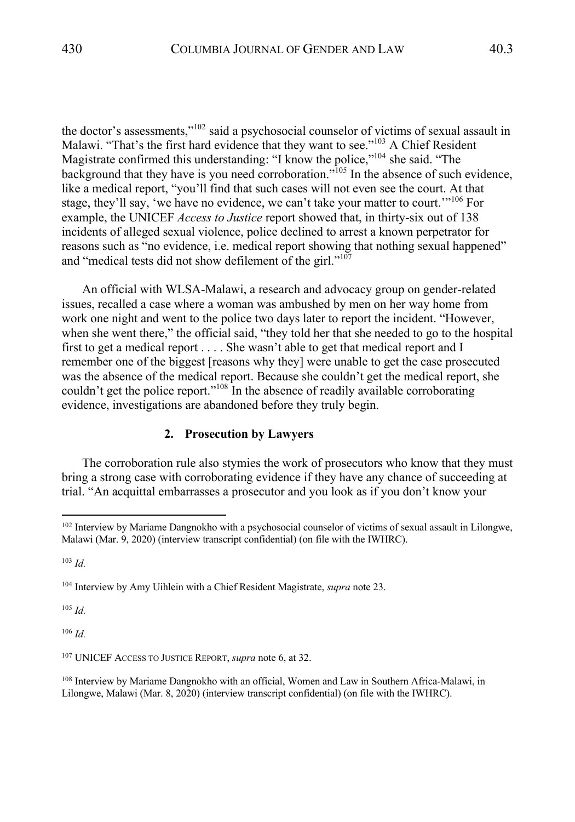the doctor's assessments,"102 said a psychosocial counselor of victims of sexual assault in Malawi. "That's the first hard evidence that they want to see."<sup>103</sup> A Chief Resident Magistrate confirmed this understanding: "I know the police,"<sup>104</sup> she said. "The background that they have is you need corroboration."<sup>105</sup> In the absence of such evidence, like a medical report, "you'll find that such cases will not even see the court. At that stage, they'll say, 'we have no evidence, we can't take your matter to court."<sup>106</sup> For example, the UNICEF *Access to Justice* report showed that, in thirty-six out of 138 incidents of alleged sexual violence, police declined to arrest a known perpetrator for reasons such as "no evidence, i.e. medical report showing that nothing sexual happened" and "medical tests did not show defilement of the girl."<sup>107</sup>

An official with WLSA-Malawi, a research and advocacy group on gender-related issues, recalled a case where a woman was ambushed by men on her way home from work one night and went to the police two days later to report the incident. "However, when she went there," the official said, "they told her that she needed to go to the hospital first to get a medical report . . . . She wasn't able to get that medical report and I remember one of the biggest [reasons why they] were unable to get the case prosecuted was the absence of the medical report. Because she couldn't get the medical report, she couldn't get the police report."<sup>108</sup> In the absence of readily available corroborating evidence, investigations are abandoned before they truly begin.

### **2. Prosecution by Lawyers**

The corroboration rule also stymies the work of prosecutors who know that they must bring a strong case with corroborating evidence if they have any chance of succeeding at trial. "An acquittal embarrasses a prosecutor and you look as if you don't know your

<sup>103</sup> *Id.*

<sup>105</sup> *Id.*

<sup>106</sup> *Id.*

<sup>&</sup>lt;sup>102</sup> Interview by Mariame Dangnokho with a psychosocial counselor of victims of sexual assault in Lilongwe, Malawi (Mar. 9, 2020) (interview transcript confidential) (on file with the IWHRC).

<sup>104</sup> Interview by Amy Uihlein with a Chief Resident Magistrate, *supra* note 23.

<sup>107</sup> UNICEF ACCESS TO JUSTICE REPORT, *supra* note 6, at 32.

<sup>108</sup> Interview by Mariame Dangnokho with an official, Women and Law in Southern Africa-Malawi, in Lilongwe, Malawi (Mar. 8, 2020) (interview transcript confidential) (on file with the IWHRC).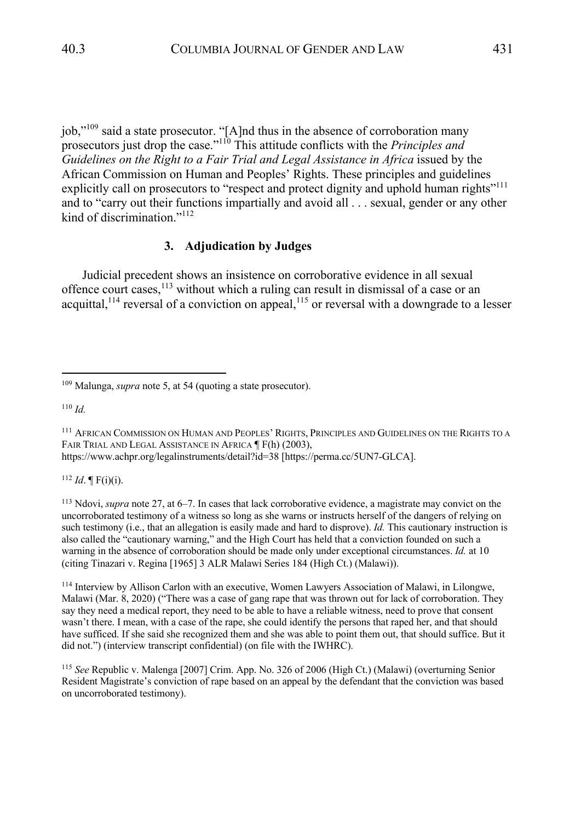job,"<sup>109</sup> said a state prosecutor. "[A]nd thus in the absence of corroboration many prosecutors just drop the case."110 This attitude conflicts with the *Principles and Guidelines on the Right to a Fair Trial and Legal Assistance in Africa* issued by the African Commission on Human and Peoples' Rights. These principles and guidelines explicitly call on prosecutors to "respect and protect dignity and uphold human rights"<sup>111</sup> and to "carry out their functions impartially and avoid all . . . sexual, gender or any other kind of discrimination."<sup>112</sup>

### **3. Adjudication by Judges**

Judicial precedent shows an insistence on corroborative evidence in all sexual offence court cases,<sup>113</sup> without which a ruling can result in dismissal of a case or an acquittal,<sup>114</sup> reversal of a conviction on appeal,<sup>115</sup> or reversal with a downgrade to a lesser

<sup>110</sup> *Id.*

<sup>111</sup> AFRICAN COMMISSION ON HUMAN AND PEOPLES' RIGHTS, PRINCIPLES AND GUIDELINES ON THE RIGHTS TO A FAIR TRIAL AND LEGAL ASSISTANCE IN AFRICA  $\P$  F(h) (2003), https://www.achpr.org/legalinstruments/detail?id=38 [https://perma.cc/5UN7-GLCA].

 $112$  *Id.* [F(i)(i).

<sup>113</sup> Ndovi, *supra* note 27, at 6–7. In cases that lack corroborative evidence, a magistrate may convict on the uncorroborated testimony of a witness so long as she warns or instructs herself of the dangers of relying on such testimony (i.e., that an allegation is easily made and hard to disprove). *Id.* This cautionary instruction is also called the "cautionary warning," and the High Court has held that a conviction founded on such a warning in the absence of corroboration should be made only under exceptional circumstances. *Id.* at 10 (citing Tinazari v. Regina [1965] 3 ALR Malawi Series 184 (High Ct.) (Malawi)).

<sup>114</sup> Interview by Allison Carlon with an executive, Women Lawyers Association of Malawi, in Lilongwe, Malawi (Mar. 8, 2020) ("There was a case of gang rape that was thrown out for lack of corroboration. They say they need a medical report, they need to be able to have a reliable witness, need to prove that consent wasn't there. I mean, with a case of the rape, she could identify the persons that raped her, and that should have sufficed. If she said she recognized them and she was able to point them out, that should suffice. But it did not.") (interview transcript confidential) (on file with the IWHRC).

<sup>115</sup> *See* Republic v. Malenga [2007] Crim. App. No. 326 of 2006 (High Ct.) (Malawi) (overturning Senior Resident Magistrate's conviction of rape based on an appeal by the defendant that the conviction was based on uncorroborated testimony).

<sup>109</sup> Malunga, *supra* note 5, at 54 (quoting a state prosecutor).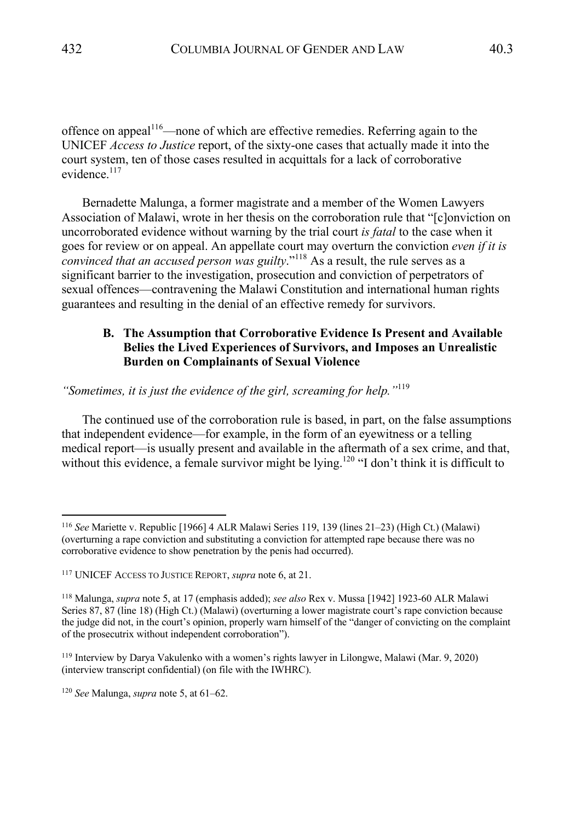offence on appeal<sup>116</sup>—none of which are effective remedies. Referring again to the UNICEF *Access to Justice* report, of the sixty-one cases that actually made it into the court system, ten of those cases resulted in acquittals for a lack of corroborative evidence.<sup>117</sup>

Bernadette Malunga, a former magistrate and a member of the Women Lawyers Association of Malawi, wrote in her thesis on the corroboration rule that "[c]onviction on uncorroborated evidence without warning by the trial court *is fatal* to the case when it goes for review or on appeal. An appellate court may overturn the conviction *even if it is convinced that an accused person was guilty*."<sup>118</sup> As a result, the rule serves as a significant barrier to the investigation, prosecution and conviction of perpetrators of sexual offences—contravening the Malawi Constitution and international human rights guarantees and resulting in the denial of an effective remedy for survivors.

# **B. The Assumption that Corroborative Evidence Is Present and Available Belies the Lived Experiences of Survivors, and Imposes an Unrealistic Burden on Complainants of Sexual Violence**

*"Sometimes, it is just the evidence of the girl, screaming for help."*<sup>119</sup>

The continued use of the corroboration rule is based, in part, on the false assumptions that independent evidence—for example, in the form of an eyewitness or a telling medical report—is usually present and available in the aftermath of a sex crime, and that, without this evidence, a female survivor might be lying.<sup>120</sup> "I don't think it is difficult to

<sup>116</sup> *See* Mariette v. Republic [1966] 4 ALR Malawi Series 119, 139 (lines 21–23) (High Ct.) (Malawi) (overturning a rape conviction and substituting a conviction for attempted rape because there was no corroborative evidence to show penetration by the penis had occurred).

<sup>117</sup> UNICEF ACCESS TO JUSTICE REPORT, *supra* note 6, at 21.

<sup>118</sup> Malunga, *supra* note 5, at 17 (emphasis added); *see also* Rex v. Mussa [1942] 1923-60 ALR Malawi Series 87, 87 (line 18) (High Ct.) (Malawi) (overturning a lower magistrate court's rape conviction because the judge did not, in the court's opinion, properly warn himself of the "danger of convicting on the complaint of the prosecutrix without independent corroboration").

<sup>119</sup> Interview by Darya Vakulenko with a women's rights lawyer in Lilongwe, Malawi (Mar. 9, 2020) (interview transcript confidential) (on file with the IWHRC).

<sup>120</sup> *See* Malunga, *supra* note 5, at 61–62.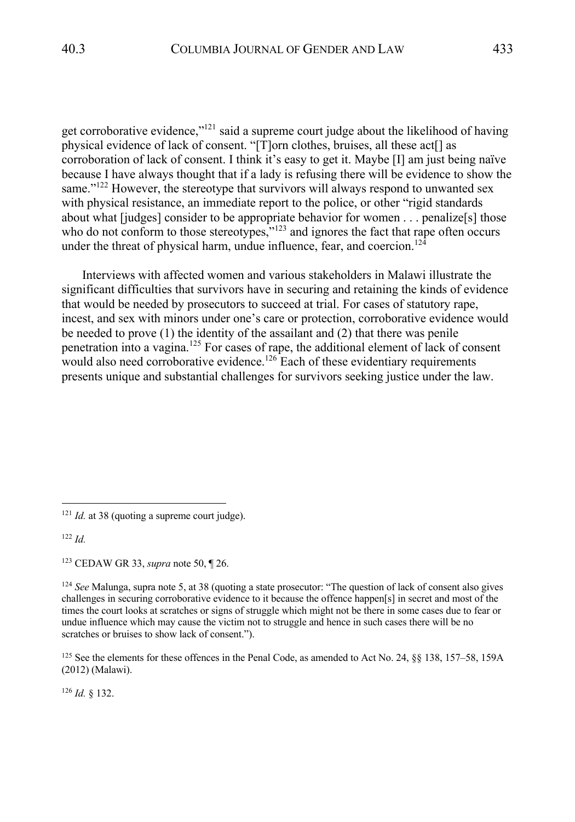get corroborative evidence," $1^{21}$  said a supreme court judge about the likelihood of having physical evidence of lack of consent. "[T]orn clothes, bruises, all these act[] as corroboration of lack of consent. I think it's easy to get it. Maybe [I] am just being naïve because I have always thought that if a lady is refusing there will be evidence to show the same."<sup>122</sup> However, the stereotype that survivors will always respond to unwanted sex with physical resistance, an immediate report to the police, or other "rigid standards about what [judges] consider to be appropriate behavior for women . . . penalize[s] those who do not conform to those stereotypes,"<sup>123</sup> and ignores the fact that rape often occurs under the threat of physical harm, undue influence, fear, and coercion.<sup>124</sup>

Interviews with affected women and various stakeholders in Malawi illustrate the significant difficulties that survivors have in securing and retaining the kinds of evidence that would be needed by prosecutors to succeed at trial. For cases of statutory rape, incest, and sex with minors under one's care or protection, corroborative evidence would be needed to prove (1) the identity of the assailant and (2) that there was penile penetration into a vagina.<sup>125</sup> For cases of rape, the additional element of lack of consent would also need corroborative evidence.<sup>126</sup> Each of these evidentiary requirements presents unique and substantial challenges for survivors seeking justice under the law.

<sup>122</sup> *Id.*

<sup>126</sup> *Id.* § 132.

<sup>&</sup>lt;sup>121</sup> *Id.* at 38 (quoting a supreme court judge).

<sup>123</sup> CEDAW GR 33, *supra* note 50, ¶ 26.

<sup>124</sup> *See* Malunga, supra note 5, at 38 (quoting a state prosecutor: "The question of lack of consent also gives challenges in securing corroborative evidence to it because the offence happen[s] in secret and most of the times the court looks at scratches or signs of struggle which might not be there in some cases due to fear or undue influence which may cause the victim not to struggle and hence in such cases there will be no scratches or bruises to show lack of consent.").

<sup>&</sup>lt;sup>125</sup> See the elements for these offences in the Penal Code, as amended to Act No. 24, §§ 138, 157–58, 159A (2012) (Malawi).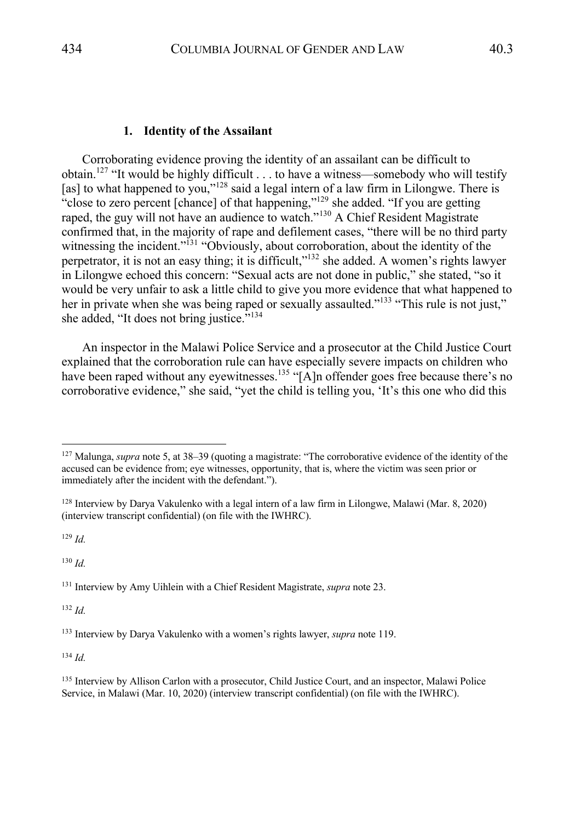#### **1. Identity of the Assailant**

Corroborating evidence proving the identity of an assailant can be difficult to obtain.<sup>127</sup> "It would be highly difficult  $\dots$  to have a witness—somebody who will testify [as] to what happened to you," $128$  said a legal intern of a law firm in Lilongwe. There is "close to zero percent [chance] of that happening,"<sup>129</sup> she added. "If you are getting raped, the guy will not have an audience to watch."<sup>130</sup> A Chief Resident Magistrate confirmed that, in the majority of rape and defilement cases, "there will be no third party witnessing the incident."<sup>131</sup> "Obviously, about corroboration, about the identity of the perpetrator, it is not an easy thing; it is difficult,"132 she added. A women's rights lawyer in Lilongwe echoed this concern: "Sexual acts are not done in public," she stated, "so it would be very unfair to ask a little child to give you more evidence that what happened to her in private when she was being raped or sexually assaulted."<sup>133</sup> "This rule is not just," she added, "It does not bring justice."<sup>134</sup>

An inspector in the Malawi Police Service and a prosecutor at the Child Justice Court explained that the corroboration rule can have especially severe impacts on children who have been raped without any eyewitnesses.<sup>135</sup> "[A]n offender goes free because there's no corroborative evidence," she said, "yet the child is telling you, 'It's this one who did this

<sup>129</sup> *Id.*

<sup>130</sup> *Id.*

<sup>131</sup> Interview by Amy Uihlein with a Chief Resident Magistrate, *supra* note 23.

<sup>132</sup> *Id.*

<sup>134</sup> *Id.*

<sup>127</sup> Malunga, *supra* note 5, at 38–39 (quoting a magistrate: "The corroborative evidence of the identity of the accused can be evidence from; eye witnesses, opportunity, that is, where the victim was seen prior or immediately after the incident with the defendant.").

<sup>128</sup> Interview by Darya Vakulenko with a legal intern of a law firm in Lilongwe, Malawi (Mar. 8, 2020) (interview transcript confidential) (on file with the IWHRC).

<sup>133</sup> Interview by Darya Vakulenko with a women's rights lawyer, *supra* note 119.

<sup>&</sup>lt;sup>135</sup> Interview by Allison Carlon with a prosecutor, Child Justice Court, and an inspector, Malawi Police Service, in Malawi (Mar. 10, 2020) (interview transcript confidential) (on file with the IWHRC).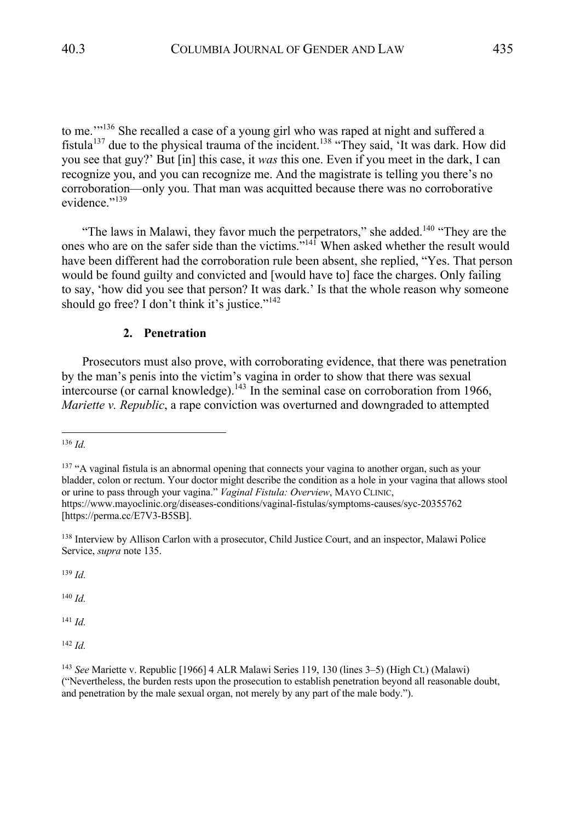to me."<sup>136</sup> She recalled a case of a young girl who was raped at night and suffered a fistula<sup>137</sup> due to the physical trauma of the incident.<sup>138</sup> "They said, 'It was dark. How did you see that guy?' But [in] this case, it *was* this one. Even if you meet in the dark, I can recognize you, and you can recognize me. And the magistrate is telling you there's no corroboration—only you. That man was acquitted because there was no corroborative evidence."<sup>139</sup>

"The laws in Malawi, they favor much the perpetrators," she added.<sup>140</sup> "They are the ones who are on the safer side than the victims.<sup>"141</sup> When asked whether the result would have been different had the corroboration rule been absent, she replied, "Yes. That person would be found guilty and convicted and [would have to] face the charges. Only failing to say, 'how did you see that person? It was dark.' Is that the whole reason why someone should go free? I don't think it's justice."<sup>142</sup>

#### **2. Penetration**

Prosecutors must also prove, with corroborating evidence, that there was penetration by the man's penis into the victim's vagina in order to show that there was sexual intercourse (or carnal knowledge).<sup>143</sup> In the seminal case on corroboration from 1966, *Mariette v. Republic*, a rape conviction was overturned and downgraded to attempted

<sup>139</sup> *Id.*

<sup>140</sup> *Id.*

<sup>141</sup> *Id.*

<sup>142</sup> *Id.*

<sup>136</sup> *Id.*

<sup>&</sup>lt;sup>137</sup> "A vaginal fistula is an abnormal opening that connects your vagina to another organ, such as your bladder, colon or rectum. Your doctor might describe the condition as a hole in your vagina that allows stool or urine to pass through your vagina." *Vaginal Fistula: Overview*, MAYO CLINIC, https://www.mayoclinic.org/diseases-conditions/vaginal-fistulas/symptoms-causes/syc-20355762 [https://perma.cc/E7V3-B5SB].

<sup>138</sup> Interview by Allison Carlon with a prosecutor, Child Justice Court, and an inspector, Malawi Police Service, *supra* note 135.

<sup>143</sup> *See* Mariette v. Republic [1966] 4 ALR Malawi Series 119, 130 (lines 3–5) (High Ct.) (Malawi) ("Nevertheless, the burden rests upon the prosecution to establish penetration beyond all reasonable doubt, and penetration by the male sexual organ, not merely by any part of the male body.").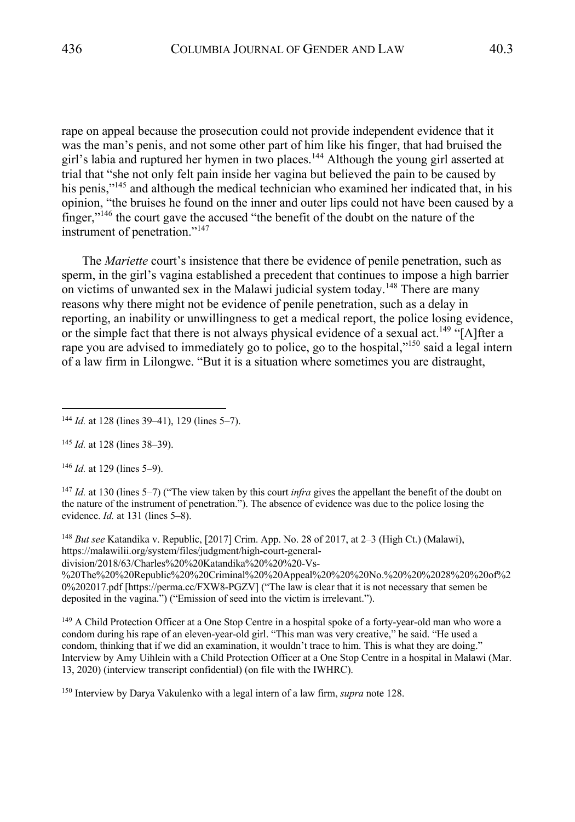rape on appeal because the prosecution could not provide independent evidence that it was the man's penis, and not some other part of him like his finger, that had bruised the girl's labia and ruptured her hymen in two places.<sup>144</sup> Although the young girl asserted at trial that "she not only felt pain inside her vagina but believed the pain to be caused by his penis,"<sup>145</sup> and although the medical technician who examined her indicated that, in his opinion, "the bruises he found on the inner and outer lips could not have been caused by a finger,"146 the court gave the accused "the benefit of the doubt on the nature of the instrument of penetration."<sup>147</sup>

The *Mariette* court's insistence that there be evidence of penile penetration, such as sperm, in the girl's vagina established a precedent that continues to impose a high barrier on victims of unwanted sex in the Malawi judicial system today.<sup>148</sup> There are many reasons why there might not be evidence of penile penetration, such as a delay in reporting, an inability or unwillingness to get a medical report, the police losing evidence, or the simple fact that there is not always physical evidence of a sexual act.<sup>149</sup> "[A]fter a rape you are advised to immediately go to police, go to the hospital,"<sup>150</sup> said a legal intern of a law firm in Lilongwe. "But it is a situation where sometimes you are distraught,

<sup>145</sup> *Id.* at 128 (lines 38–39).

<sup>146</sup> *Id.* at 129 (lines 5–9).

<sup>147</sup> *Id.* at 130 (lines 5–7) ("The view taken by this court *infra* gives the appellant the benefit of the doubt on the nature of the instrument of penetration."). The absence of evidence was due to the police losing the evidence. *Id.* at 131 (lines 5–8).

<sup>148</sup> *But see* Katandika v. Republic, [2017] Crim. App. No. 28 of 2017, at 2–3 (High Ct.) (Malawi), https://malawilii.org/system/files/judgment/high-court-generaldivision/2018/63/Charles%20%20Katandika%20%20%20-Vs- %20The%20%20Republic%20%20Criminal%20%20Appeal%20%20%20No.%20%20%20%20%20%20of%2 0%202017.pdf [https://perma.cc/FXW8-PGZV] ("The law is clear that it is not necessary that semen be deposited in the vagina.") ("Emission of seed into the victim is irrelevant.").

<sup>149</sup> A Child Protection Officer at a One Stop Centre in a hospital spoke of a forty-year-old man who wore a condom during his rape of an eleven-year-old girl. "This man was very creative," he said. "He used a condom, thinking that if we did an examination, it wouldn't trace to him. This is what they are doing." Interview by Amy Uihlein with a Child Protection Officer at a One Stop Centre in a hospital in Malawi (Mar. 13, 2020) (interview transcript confidential) (on file with the IWHRC).

<sup>150</sup> Interview by Darya Vakulenko with a legal intern of a law firm, *supra* note 128.

<sup>144</sup> *Id.* at 128 (lines 39–41), 129 (lines 5–7).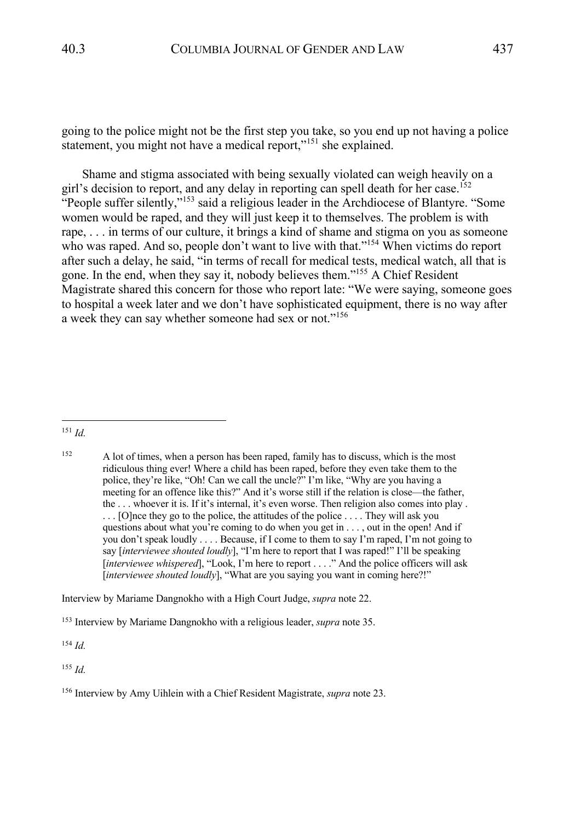going to the police might not be the first step you take, so you end up not having a police statement, you might not have a medical report,"<sup>151</sup> she explained.

Shame and stigma associated with being sexually violated can weigh heavily on a girl's decision to report, and any delay in reporting can spell death for her case.<sup>152</sup> "People suffer silently,"<sup>153</sup> said a religious leader in the Archdiocese of Blantyre. "Some women would be raped, and they will just keep it to themselves. The problem is with rape, . . . in terms of our culture, it brings a kind of shame and stigma on you as someone who was raped. And so, people don't want to live with that."<sup>154</sup> When victims do report after such a delay, he said, "in terms of recall for medical tests, medical watch, all that is gone. In the end, when they say it, nobody believes them."155 A Chief Resident Magistrate shared this concern for those who report late: "We were saying, someone goes to hospital a week later and we don't have sophisticated equipment, there is no way after a week they can say whether someone had sex or not."<sup>156</sup>

Interview by Mariame Dangnokho with a High Court Judge, *supra* note 22.

<sup>154</sup> *Id.*

<sup>155</sup> *Id.*

<sup>151</sup> *Id.*

<sup>&</sup>lt;sup>152</sup> A lot of times, when a person has been raped, family has to discuss, which is the most ridiculous thing ever! Where a child has been raped, before they even take them to the police, they're like, "Oh! Can we call the uncle?" I'm like, "Why are you having a meeting for an offence like this?" And it's worse still if the relation is close—the father, the . . . whoever it is. If it's internal, it's even worse. Then religion also comes into play . ... [O]nce they go to the police, the attitudes of the police .... They will ask you questions about what you're coming to do when you get in . . . , out in the open! And if you don't speak loudly . . . . Because, if I come to them to say I'm raped, I'm not going to say [*interviewee shouted loudly*], "I'm here to report that I was raped!" I'll be speaking [*interviewee whispered*], "Look, I'm here to report . . . ." And the police officers will ask [*interviewee shouted loudly*], "What are you saying you want in coming here?!"

<sup>153</sup> Interview by Mariame Dangnokho with a religious leader, *supra* note 35.

<sup>156</sup> Interview by Amy Uihlein with a Chief Resident Magistrate, *supra* note 23.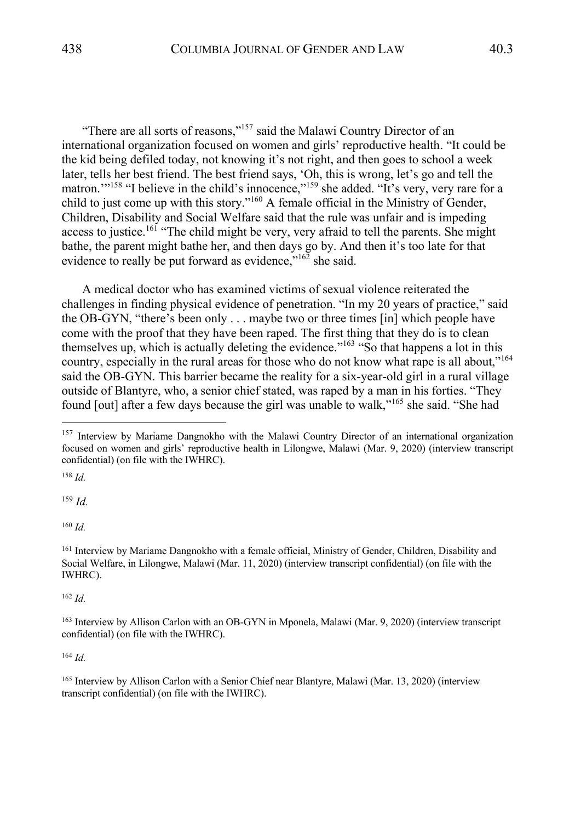"There are all sorts of reasons,"<sup>157</sup> said the Malawi Country Director of an international organization focused on women and girls' reproductive health. "It could be the kid being defiled today, not knowing it's not right, and then goes to school a week later, tells her best friend. The best friend says, 'Oh, this is wrong, let's go and tell the matron."<sup>158</sup> "I believe in the child's innocence,"<sup>159</sup> she added. "It's very, very rare for a child to just come up with this story."160 A female official in the Ministry of Gender, Children, Disability and Social Welfare said that the rule was unfair and is impeding access to justice.<sup>161</sup> "The child might be very, very afraid to tell the parents. She might bathe, the parent might bathe her, and then days go by. And then it's too late for that evidence to really be put forward as evidence."<sup>162</sup> she said.

A medical doctor who has examined victims of sexual violence reiterated the challenges in finding physical evidence of penetration. "In my 20 years of practice," said the OB-GYN, "there's been only . . . maybe two or three times [in] which people have come with the proof that they have been raped. The first thing that they do is to clean themselves up, which is actually deleting the evidence."<sup>163</sup> "So that happens a lot in this country, especially in the rural areas for those who do not know what rape is all about,"<sup>164</sup> said the OB-GYN. This barrier became the reality for a six-year-old girl in a rural village outside of Blantyre, who, a senior chief stated, was raped by a man in his forties. "They found [out] after a few days because the girl was unable to walk,"<sup>165</sup> she said. "She had

<sup>158</sup> *Id.*

<sup>159</sup> *Id.*

<sup>160</sup> *Id.*

<sup>161</sup> Interview by Mariame Dangnokho with a female official, Ministry of Gender, Children, Disability and Social Welfare, in Lilongwe, Malawi (Mar. 11, 2020) (interview transcript confidential) (on file with the IWHRC).

<sup>162</sup> *Id.*

<sup>163</sup> Interview by Allison Carlon with an OB-GYN in Mponela, Malawi (Mar. 9, 2020) (interview transcript confidential) (on file with the IWHRC).

<sup>164</sup> *Id.*

<sup>165</sup> Interview by Allison Carlon with a Senior Chief near Blantyre, Malawi (Mar. 13, 2020) (interview transcript confidential) (on file with the IWHRC).

<sup>&</sup>lt;sup>157</sup> Interview by Mariame Dangnokho with the Malawi Country Director of an international organization focused on women and girls' reproductive health in Lilongwe, Malawi (Mar. 9, 2020) (interview transcript confidential) (on file with the IWHRC).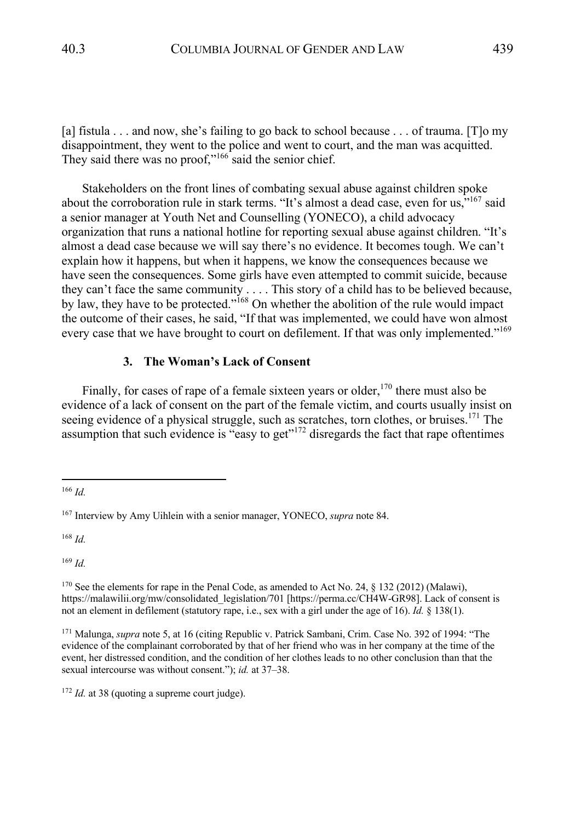[a] fistula . . . and now, she's failing to go back to school because . . . of trauma. [T]o my disappointment, they went to the police and went to court, and the man was acquitted. They said there was no proof,"<sup>166</sup> said the senior chief.

Stakeholders on the front lines of combating sexual abuse against children spoke about the corroboration rule in stark terms. "It's almost a dead case, even for us,"<sup>167</sup> said a senior manager at Youth Net and Counselling (YONECO), a child advocacy organization that runs a national hotline for reporting sexual abuse against children. "It's almost a dead case because we will say there's no evidence. It becomes tough. We can't explain how it happens, but when it happens, we know the consequences because we have seen the consequences. Some girls have even attempted to commit suicide, because they can't face the same community . . . . This story of a child has to be believed because, by law, they have to be protected."<sup>168</sup> On whether the abolition of the rule would impact the outcome of their cases, he said, "If that was implemented, we could have won almost every case that we have brought to court on defilement. If that was only implemented."<sup>169</sup>

### **3. The Woman's Lack of Consent**

Finally, for cases of rape of a female sixteen years or older,<sup>170</sup> there must also be evidence of a lack of consent on the part of the female victim, and courts usually insist on seeing evidence of a physical struggle, such as scratches, torn clothes, or bruises.<sup>171</sup> The assumption that such evidence is "easy to get"<sup>172</sup> disregards the fact that rape oftentimes

<sup>168</sup> *Id.*

<sup>169</sup> *Id.*

<sup>172</sup> *Id.* at 38 (quoting a supreme court judge).

<sup>166</sup> *Id.*

<sup>167</sup> Interview by Amy Uihlein with a senior manager, YONECO, *supra* note 84.

<sup>&</sup>lt;sup>170</sup> See the elements for rape in the Penal Code, as amended to Act No. 24,  $\S$  132 (2012) (Malawi), https://malawilii.org/mw/consolidated\_legislation/701 [https://perma.cc/CH4W-GR98]. Lack of consent is not an element in defilement (statutory rape, i.e., sex with a girl under the age of 16). *Id.* § 138(1).

<sup>171</sup> Malunga, *supra* note 5, at 16 (citing Republic v. Patrick Sambani, Crim. Case No. 392 of 1994: "The evidence of the complainant corroborated by that of her friend who was in her company at the time of the event, her distressed condition, and the condition of her clothes leads to no other conclusion than that the sexual intercourse was without consent."); *id.* at 37–38.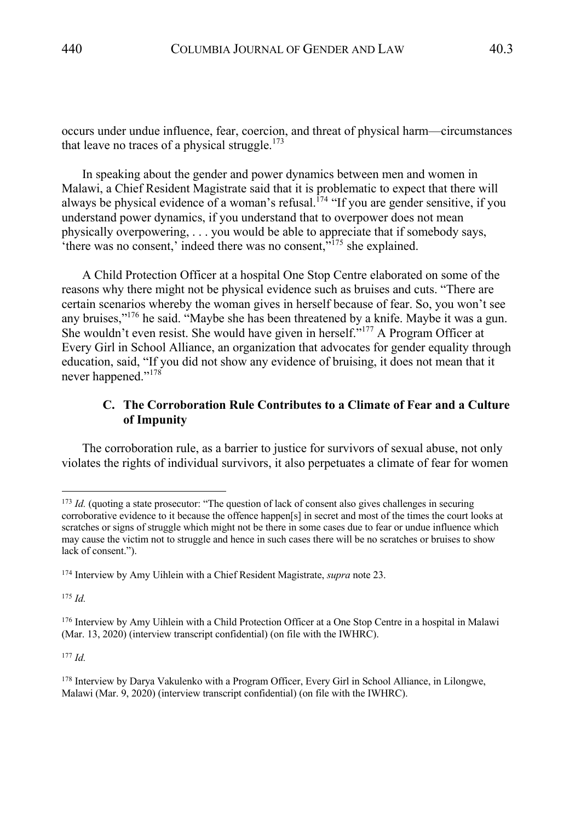occurs under undue influence, fear, coercion, and threat of physical harm—circumstances that leave no traces of a physical struggle.<sup>173</sup>

In speaking about the gender and power dynamics between men and women in Malawi, a Chief Resident Magistrate said that it is problematic to expect that there will always be physical evidence of a woman's refusal.<sup>174</sup> "If you are gender sensitive, if you understand power dynamics, if you understand that to overpower does not mean physically overpowering, . . . you would be able to appreciate that if somebody says, 'there was no consent,' indeed there was no consent, $\cdot$ <sup>175</sup> she explained.

A Child Protection Officer at a hospital One Stop Centre elaborated on some of the reasons why there might not be physical evidence such as bruises and cuts. "There are certain scenarios whereby the woman gives in herself because of fear. So, you won't see any bruises,"176 he said. "Maybe she has been threatened by a knife. Maybe it was a gun. She wouldn't even resist. She would have given in herself."<sup>177</sup> A Program Officer at Every Girl in School Alliance, an organization that advocates for gender equality through education, said, "If you did not show any evidence of bruising, it does not mean that it never happened."<sup>178</sup>

# **C. The Corroboration Rule Contributes to a Climate of Fear and a Culture of Impunity**

The corroboration rule, as a barrier to justice for survivors of sexual abuse, not only violates the rights of individual survivors, it also perpetuates a climate of fear for women

<sup>175</sup> *Id.*

<sup>177</sup> *Id.*

<sup>&</sup>lt;sup>173</sup> *Id.* (quoting a state prosecutor: "The question of lack of consent also gives challenges in securing corroborative evidence to it because the offence happen[s] in secret and most of the times the court looks at scratches or signs of struggle which might not be there in some cases due to fear or undue influence which may cause the victim not to struggle and hence in such cases there will be no scratches or bruises to show lack of consent.").

<sup>174</sup> Interview by Amy Uihlein with a Chief Resident Magistrate, *supra* note 23.

<sup>176</sup> Interview by Amy Uihlein with a Child Protection Officer at a One Stop Centre in a hospital in Malawi (Mar. 13, 2020) (interview transcript confidential) (on file with the IWHRC).

<sup>178</sup> Interview by Darya Vakulenko with a Program Officer, Every Girl in School Alliance, in Lilongwe, Malawi (Mar. 9, 2020) (interview transcript confidential) (on file with the IWHRC).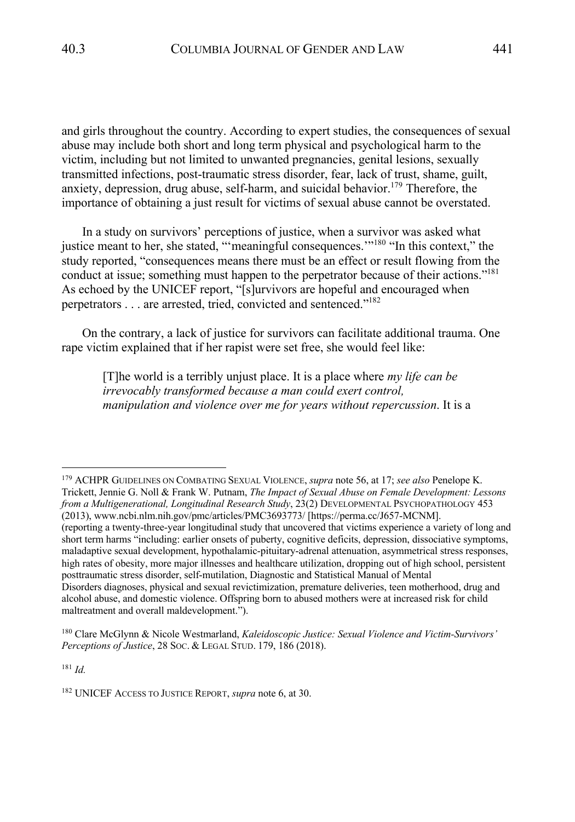and girls throughout the country. According to expert studies, the consequences of sexual abuse may include both short and long term physical and psychological harm to the victim, including but not limited to unwanted pregnancies, genital lesions, sexually transmitted infections, post-traumatic stress disorder, fear, lack of trust, shame, guilt, anxiety, depression, drug abuse, self-harm, and suicidal behavior.<sup>179</sup> Therefore, the importance of obtaining a just result for victims of sexual abuse cannot be overstated.

In a study on survivors' perceptions of justice, when a survivor was asked what justice meant to her, she stated, "'meaningful consequences.'"<sup>180</sup> "In this context," the study reported, "consequences means there must be an effect or result flowing from the conduct at issue; something must happen to the perpetrator because of their actions."<sup>181</sup> As echoed by the UNICEF report, "[s]urvivors are hopeful and encouraged when perpetrators . . . are arrested, tried, convicted and sentenced."<sup>182</sup>

On the contrary, a lack of justice for survivors can facilitate additional trauma. One rape victim explained that if her rapist were set free, she would feel like:

[T]he world is a terribly unjust place. It is a place where *my life can be irrevocably transformed because a man could exert control, manipulation and violence over me for years without repercussion*. It is a

<sup>179</sup> ACHPR GUIDELINES ON COMBATING SEXUAL VIOLENCE, *supra* note 56, at 17; *see also* Penelope K. Trickett, Jennie G. Noll & Frank W. Putnam, *The Impact of Sexual Abuse on Female Development: Lessons from a Multigenerational, Longitudinal Research Study*, 23(2) DEVELOPMENTAL PSYCHOPATHOLOGY 453 (2013), www.ncbi.nlm.nih.gov/pmc/articles/PMC3693773/ [https://perma.cc/J657-MCNM]. (reporting a twenty-three-year longitudinal study that uncovered that victims experience a variety of long and short term harms "including: earlier onsets of puberty, cognitive deficits, depression, dissociative symptoms, maladaptive sexual development, hypothalamic-pituitary-adrenal attenuation, asymmetrical stress responses,

high rates of obesity, more major illnesses and healthcare utilization, dropping out of high school, persistent posttraumatic stress disorder, self-mutilation, Diagnostic and Statistical Manual of Mental Disorders diagnoses, physical and sexual revictimization, premature deliveries, teen motherhood, drug and alcohol abuse, and domestic violence. Offspring born to abused mothers were at increased risk for child maltreatment and overall maldevelopment.").

<sup>180</sup> Clare McGlynn & Nicole Westmarland, *Kaleidoscopic Justice: Sexual Violence and Victim-Survivors' Perceptions of Justice*, 28 SOC. & LEGAL STUD. 179, 186 (2018).

<sup>181</sup> *Id.*

<sup>182</sup> UNICEF ACCESS TO JUSTICE REPORT, *supra* note 6, at 30.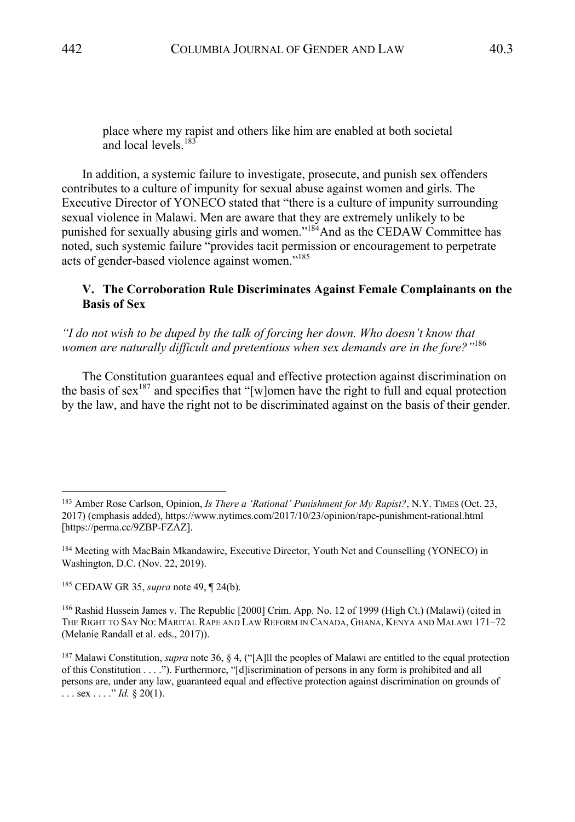place where my rapist and others like him are enabled at both societal and local levels. $183$ 

In addition, a systemic failure to investigate, prosecute, and punish sex offenders contributes to a culture of impunity for sexual abuse against women and girls. The Executive Director of YONECO stated that "there is a culture of impunity surrounding sexual violence in Malawi. Men are aware that they are extremely unlikely to be punished for sexually abusing girls and women."<sup>184</sup>And as the CEDAW Committee has noted, such systemic failure "provides tacit permission or encouragement to perpetrate acts of gender-based violence against women."185

# **V. The Corroboration Rule Discriminates Against Female Complainants on the Basis of Sex**

*"I do not wish to be duped by the talk of forcing her down. Who doesn't know that women are naturally difficult and pretentious when sex demands are in the fore?"*<sup>186</sup>

The Constitution guarantees equal and effective protection against discrimination on the basis of sex<sup>187</sup> and specifies that "[w]omen have the right to full and equal protection by the law, and have the right not to be discriminated against on the basis of their gender.

<sup>183</sup> Amber Rose Carlson, Opinion, *Is There a 'Rational' Punishment for My Rapist?*, N.Y. TIMES (Oct. 23, 2017) (emphasis added), https://www.nytimes.com/2017/10/23/opinion/rape-punishment-rational.html [https://perma.cc/9ZBP-FZAZ].

<sup>184</sup> Meeting with MacBain Mkandawire, Executive Director, Youth Net and Counselling (YONECO) in Washington, D.C. (Nov. 22, 2019).

<sup>185</sup> CEDAW GR 35, *supra* note 49, ¶ 24(b).

<sup>186</sup> Rashid Hussein James v. The Republic [2000] Crim. App. No. 12 of 1999 (High Ct.) (Malawi) (cited in THE RIGHT TO SAY NO: MARITAL RAPE AND LAW REFORM IN CANADA, GHANA, KENYA AND MALAWI 171–72 (Melanie Randall et al. eds., 2017)).

<sup>187</sup> Malawi Constitution, *supra* note 36, § 4, ("[A]ll the peoples of Malawi are entitled to the equal protection of this Constitution . . . ."). Furthermore, "[d]iscrimination of persons in any form is prohibited and all persons are, under any law, guaranteed equal and effective protection against discrimination on grounds of ... sex ... ." *Id.* § 20(1).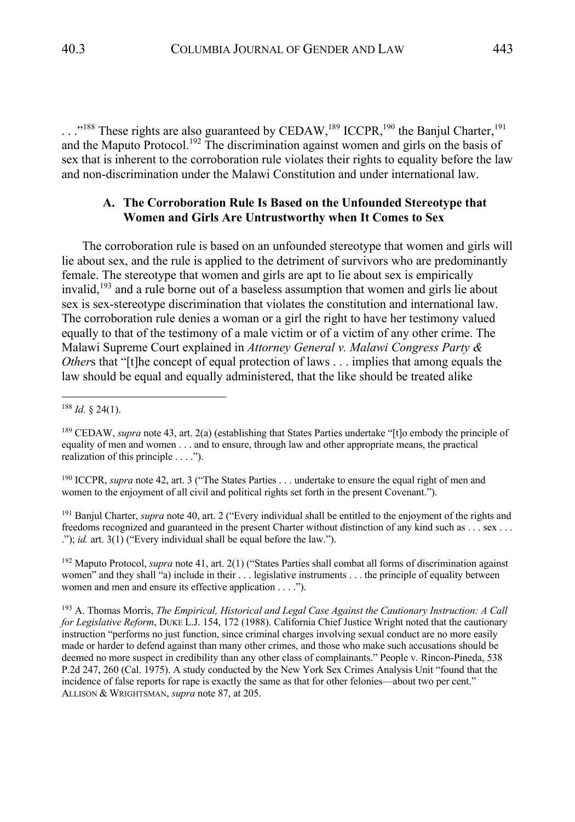..."<sup>188</sup> These rights are also guaranteed by CEDAW,<sup>189</sup> ICCPR,<sup>190</sup> the Banjul Charter,<sup>191</sup> and the Maputo Protocol.<sup>192</sup> The discrimination against women and girls on the basis of sex that is inherent to the corroboration rule violates their rights to equality before the law and non-discrimination under the Malawi Constitution and under international law.

### **A. The Corroboration Rule Is Based on the Unfounded Stereotype that Women and Girls Are Untrustworthy when It Comes to Sex**

The corroboration rule is based on an unfounded stereotype that women and girls will lie about sex, and the rule is applied to the detriment of survivors who are predominantly female. The stereotype that women and girls are apt to lie about sex is empirically invalid, <sup>193</sup> and a rule borne out of a baseless assumption that women and girls lie about sex is sex-stereotype discrimination that violates the constitution and international law. The corroboration rule denies a woman or a girl the right to have her testimony valued equally to that of the testimony of a male victim or of a victim of any other crime. The Malawi Supreme Court explained in *Attorney General v. Malawi Congress Party & Other*s that "[t]he concept of equal protection of laws . . . implies that among equals the law should be equal and equally administered, that the like should be treated alike

<sup>190</sup> ICCPR, *supra* note 42, art. 3 ("The States Parties . . . undertake to ensure the equal right of men and women to the enjoyment of all civil and political rights set forth in the present Covenant.").

<sup>191</sup> Banjul Charter, *supra* note 40, art. 2 ("Every individual shall be entitled to the enjoyment of the rights and freedoms recognized and guaranteed in the present Charter without distinction of any kind such as . . . sex . . . ."); *id.* art. 3(1) ("Every individual shall be equal before the law.").

<sup>192</sup> Maputo Protocol, *supra* note 41, art. 2(1) ("States Parties shall combat all forms of discrimination against women" and they shall "a) include in their . . . legislative instruments . . . the principle of equality between women and men and ensure its effective application . . . .").

<sup>188</sup> *Id.* § 24(1).

<sup>189</sup> CEDAW, *supra* note 43, art. 2(a) (establishing that States Parties undertake "[t]o embody the principle of equality of men and women . . . and to ensure, through law and other appropriate means, the practical realization of this principle . . . .").

<sup>193</sup> A. Thomas Morris, *The Empirical, Historical and Legal Case Against the Cautionary Instruction: A Call for Legislative Reform*, DUKE L.J. 154, 172 (1988). California Chief Justice Wright noted that the cautionary instruction "performs no just function, since criminal charges involving sexual conduct are no more easily made or harder to defend against than many other crimes, and those who make such accusations should be deemed no more suspect in credibility than any other class of complainants." People v. Rincon-Pineda, 538 P.2d 247, 260 (Cal. 1975). A study conducted by the New York Sex Crimes Analysis Unit "found that the incidence of false reports for rape is exactly the same as that for other felonies—about two per cent." ALLISON & WRIGHTSMAN, *supra* note 87, at 205.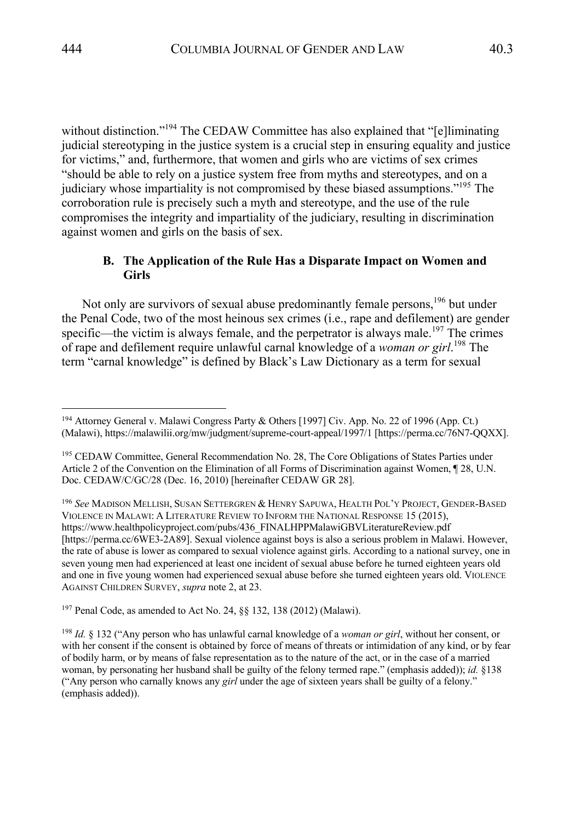without distinction."<sup>194</sup> The CEDAW Committee has also explained that "[e]liminating judicial stereotyping in the justice system is a crucial step in ensuring equality and justice for victims," and, furthermore, that women and girls who are victims of sex crimes "should be able to rely on a justice system free from myths and stereotypes, and on a judiciary whose impartiality is not compromised by these biased assumptions."195 The corroboration rule is precisely such a myth and stereotype, and the use of the rule compromises the integrity and impartiality of the judiciary, resulting in discrimination against women and girls on the basis of sex.

# **B. The Application of the Rule Has a Disparate Impact on Women and Girls**

Not only are survivors of sexual abuse predominantly female persons,<sup>196</sup> but under the Penal Code, two of the most heinous sex crimes (i.e., rape and defilement) are gender specific—the victim is always female, and the perpetrator is always male.<sup>197</sup> The crimes of rape and defilement require unlawful carnal knowledge of a *woman or girl*. <sup>198</sup> The term "carnal knowledge" is defined by Black's Law Dictionary as a term for sexual

<sup>196</sup> *See* MADISON MELLISH, SUSAN SETTERGREN & HENRY SAPUWA, HEALTH POL'Y PROJECT, GENDER-BASED VIOLENCE IN MALAWI: A LITERATURE REVIEW TO INFORM THE NATIONAL RESPONSE 15 (2015), https://www.healthpolicyproject.com/pubs/436\_FINALHPPMalawiGBVLiteratureReview.pdf [https://perma.cc/6WE3-2A89]. Sexual violence against boys is also a serious problem in Malawi. However, the rate of abuse is lower as compared to sexual violence against girls. According to a national survey, one in seven young men had experienced at least one incident of sexual abuse before he turned eighteen years old and one in five young women had experienced sexual abuse before she turned eighteen years old. VIOLENCE AGAINST CHILDREN SURVEY, *supra* note 2, at 23.

<sup>197</sup> Penal Code, as amended to Act No. 24, §§ 132, 138 (2012) (Malawi).

<sup>194</sup> Attorney General v. Malawi Congress Party & Others [1997] Civ. App. No. 22 of 1996 (App. Ct.) (Malawi), https://malawilii.org/mw/judgment/supreme-court-appeal/1997/1 [https://perma.cc/76N7-QQXX].

<sup>&</sup>lt;sup>195</sup> CEDAW Committee, General Recommendation No. 28, The Core Obligations of States Parties under Article 2 of the Convention on the Elimination of all Forms of Discrimination against Women, ¶ 28, U.N. Doc. CEDAW/C/GC/28 (Dec. 16, 2010) [hereinafter CEDAW GR 28].

<sup>198</sup> *Id.* § 132 ("Any person who has unlawful carnal knowledge of a *woman or girl*, without her consent, or with her consent if the consent is obtained by force of means of threats or intimidation of any kind, or by fear of bodily harm, or by means of false representation as to the nature of the act, or in the case of a married woman, by personating her husband shall be guilty of the felony termed rape." (emphasis added)); *id.* §138 ("Any person who carnally knows any *girl* under the age of sixteen years shall be guilty of a felony." (emphasis added)).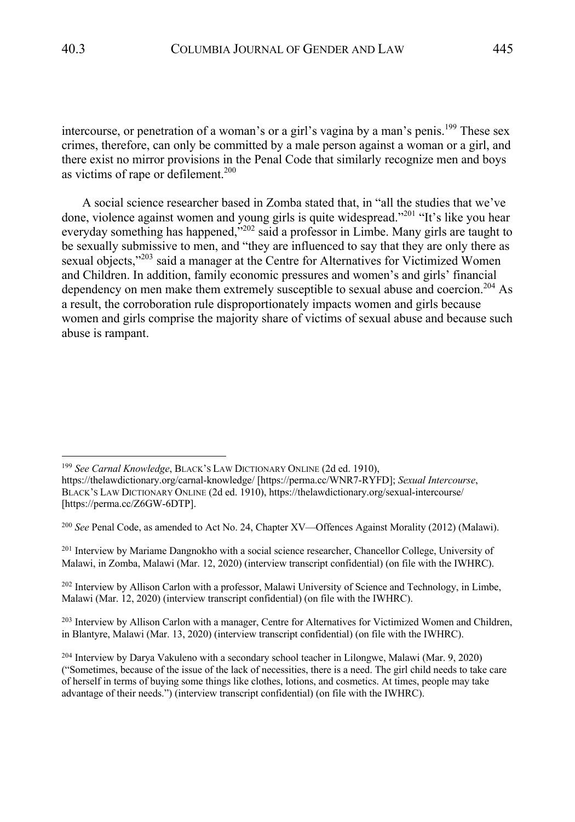intercourse, or penetration of a woman's or a girl's vagina by a man's penis.<sup>199</sup> These sex crimes, therefore, can only be committed by a male person against a woman or a girl, and there exist no mirror provisions in the Penal Code that similarly recognize men and boys as victims of rape or defilement. 200

A social science researcher based in Zomba stated that, in "all the studies that we've done, violence against women and young girls is quite widespread."<sup>201</sup> "It's like you hear everyday something has happened,<sup>5202</sup> said a professor in Limbe. Many girls are taught to be sexually submissive to men, and "they are influenced to say that they are only there as sexual objects,"<sup>203</sup> said a manager at the Centre for Alternatives for Victimized Women and Children. In addition, family economic pressures and women's and girls' financial dependency on men make them extremely susceptible to sexual abuse and coercion.<sup>204</sup> As a result, the corroboration rule disproportionately impacts women and girls because women and girls comprise the majority share of victims of sexual abuse and because such abuse is rampant.

<sup>200</sup> *See* Penal Code, as amended to Act No. 24, Chapter XV—Offences Against Morality (2012) (Malawi).

<sup>201</sup> Interview by Mariame Dangnokho with a social science researcher, Chancellor College, University of Malawi, in Zomba, Malawi (Mar. 12, 2020) (interview transcript confidential) (on file with the IWHRC).

 $^{202}$  Interview by Allison Carlon with a professor, Malawi University of Science and Technology, in Limbe, Malawi (Mar. 12, 2020) (interview transcript confidential) (on file with the IWHRC).

<sup>203</sup> Interview by Allison Carlon with a manager, Centre for Alternatives for Victimized Women and Children, in Blantyre, Malawi (Mar. 13, 2020) (interview transcript confidential) (on file with the IWHRC).

<sup>199</sup> *See Carnal Knowledge*, BLACK'S LAW DICTIONARY ONLINE (2d ed. 1910),

https://thelawdictionary.org/carnal-knowledge/ [https://perma.cc/WNR7-RYFD]; *Sexual Intercourse*, BLACK'S LAW DICTIONARY ONLINE (2d ed. 1910), https://thelawdictionary.org/sexual-intercourse/ [https://perma.cc/Z6GW-6DTP].

<sup>204</sup> Interview by Darya Vakuleno with a secondary school teacher in Lilongwe, Malawi (Mar. 9, 2020) ("Sometimes, because of the issue of the lack of necessities, there is a need. The girl child needs to take care of herself in terms of buying some things like clothes, lotions, and cosmetics. At times, people may take advantage of their needs.") (interview transcript confidential) (on file with the IWHRC).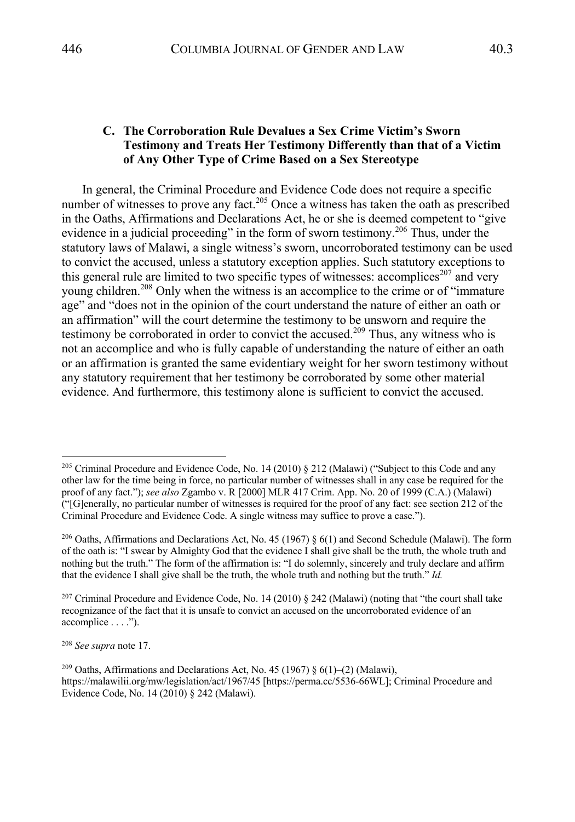# **C. The Corroboration Rule Devalues a Sex Crime Victim's Sworn Testimony and Treats Her Testimony Differently than that of a Victim of Any Other Type of Crime Based on a Sex Stereotype**

In general, the Criminal Procedure and Evidence Code does not require a specific number of witnesses to prove any fact.<sup>205</sup> Once a witness has taken the oath as prescribed in the Oaths, Affirmations and Declarations Act, he or she is deemed competent to "give evidence in a judicial proceeding" in the form of sworn testimony.<sup>206</sup> Thus, under the statutory laws of Malawi, a single witness's sworn, uncorroborated testimony can be used to convict the accused, unless a statutory exception applies. Such statutory exceptions to this general rule are limited to two specific types of witnesses: accomplices<sup>207</sup> and very young children. <sup>208</sup> Only when the witness is an accomplice to the crime or of "immature age" and "does not in the opinion of the court understand the nature of either an oath or an affirmation" will the court determine the testimony to be unsworn and require the testimony be corroborated in order to convict the accused.<sup>209</sup> Thus, any witness who is not an accomplice and who is fully capable of understanding the nature of either an oath or an affirmation is granted the same evidentiary weight for her sworn testimony without any statutory requirement that her testimony be corroborated by some other material evidence. And furthermore, this testimony alone is sufficient to convict the accused.

<sup>208</sup> *See supra* note 17.

<sup>&</sup>lt;sup>205</sup> Criminal Procedure and Evidence Code, No. 14 (2010) § 212 (Malawi) ("Subject to this Code and any other law for the time being in force, no particular number of witnesses shall in any case be required for the proof of any fact."); *see also* Zgambo v. R [2000] MLR 417 Crim. App. No. 20 of 1999 (C.A.) (Malawi) ("[G]enerally, no particular number of witnesses is required for the proof of any fact: see section 212 of the Criminal Procedure and Evidence Code. A single witness may suffice to prove a case.").

<sup>&</sup>lt;sup>206</sup> Oaths, Affirmations and Declarations Act, No. 45 (1967) § 6(1) and Second Schedule (Malawi). The form of the oath is: "I swear by Almighty God that the evidence I shall give shall be the truth, the whole truth and nothing but the truth." The form of the affirmation is: "I do solemnly, sincerely and truly declare and affirm that the evidence I shall give shall be the truth, the whole truth and nothing but the truth." *Id.*

<sup>&</sup>lt;sup>207</sup> Criminal Procedure and Evidence Code, No. 14 (2010)  $\S$  242 (Malawi) (noting that "the court shall take recognizance of the fact that it is unsafe to convict an accused on the uncorroborated evidence of an accomplice . . . .").

<sup>&</sup>lt;sup>209</sup> Oaths, Affirmations and Declarations Act, No. 45 (1967) § 6(1)–(2) (Malawi), https://malawilii.org/mw/legislation/act/1967/45 [https://perma.cc/5536-66WL]; Criminal Procedure and Evidence Code, No. 14 (2010) § 242 (Malawi).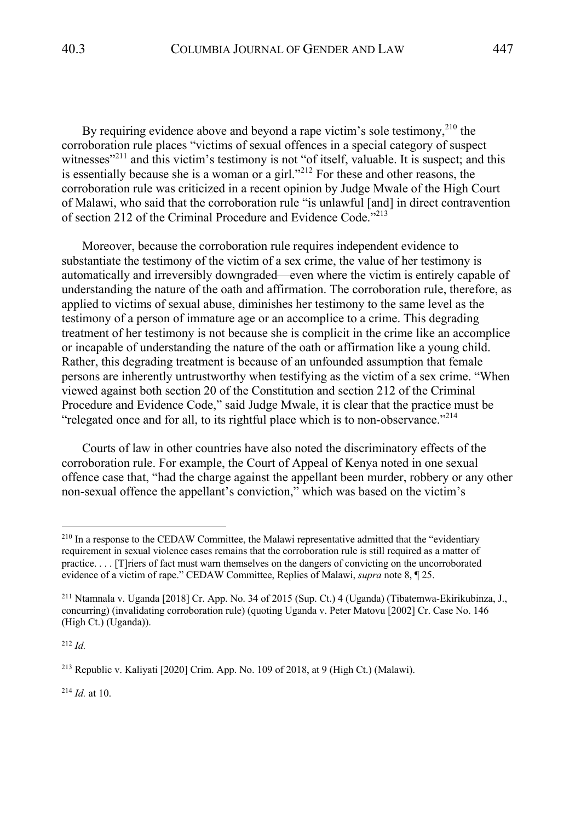By requiring evidence above and beyond a rape victim's sole testimony,  $2^{10}$  the corroboration rule places "victims of sexual offences in a special category of suspect witnesses"<sup>211</sup> and this victim's testimony is not "of itself, valuable. It is suspect; and this is essentially because she is a woman or a girl.<sup> $212$ </sup> For these and other reasons, the corroboration rule was criticized in a recent opinion by Judge Mwale of the High Court of Malawi, who said that the corroboration rule "is unlawful [and] in direct contravention of section 212 of the Criminal Procedure and Evidence Code."213

Moreover, because the corroboration rule requires independent evidence to substantiate the testimony of the victim of a sex crime, the value of her testimony is automatically and irreversibly downgraded—even where the victim is entirely capable of understanding the nature of the oath and affirmation. The corroboration rule, therefore, as applied to victims of sexual abuse, diminishes her testimony to the same level as the testimony of a person of immature age or an accomplice to a crime. This degrading treatment of her testimony is not because she is complicit in the crime like an accomplice or incapable of understanding the nature of the oath or affirmation like a young child. Rather, this degrading treatment is because of an unfounded assumption that female persons are inherently untrustworthy when testifying as the victim of a sex crime. "When viewed against both section 20 of the Constitution and section 212 of the Criminal Procedure and Evidence Code," said Judge Mwale, it is clear that the practice must be "relegated once and for all, to its rightful place which is to non-observance."<sup>214</sup>

Courts of law in other countries have also noted the discriminatory effects of the corroboration rule. For example, the Court of Appeal of Kenya noted in one sexual offence case that, "had the charge against the appellant been murder, robbery or any other non-sexual offence the appellant's conviction," which was based on the victim's

<sup>212</sup> *Id.*

<sup>214</sup> *Id.* at 10.

<sup>&</sup>lt;sup>210</sup> In a response to the CEDAW Committee, the Malawi representative admitted that the "evidentiary" requirement in sexual violence cases remains that the corroboration rule is still required as a matter of practice. . . . [T]riers of fact must warn themselves on the dangers of convicting on the uncorroborated evidence of a victim of rape." CEDAW Committee, Replies of Malawi, *supra* note 8, ¶ 25.

<sup>211</sup> Ntamnala v. Uganda [2018] Cr. App. No. 34 of 2015 (Sup. Ct.) 4 (Uganda) (Tibatemwa-Ekirikubinza, J., concurring) (invalidating corroboration rule) (quoting Uganda v. Peter Matovu [2002] Cr. Case No. 146 (High Ct.) (Uganda)).

<sup>213</sup> Republic v. Kaliyati [2020] Crim. App. No. 109 of 2018, at 9 (High Ct.) (Malawi).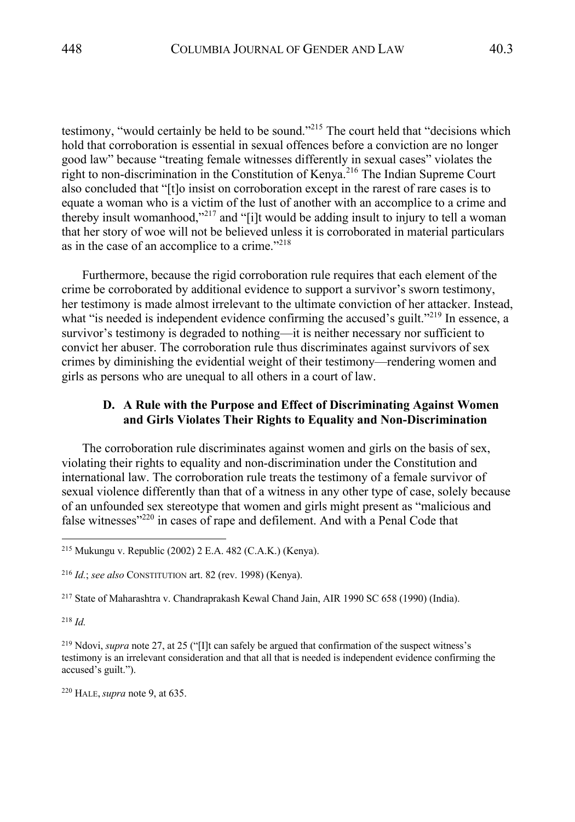testimony, "would certainly be held to be sound."<sup>215</sup> The court held that "decisions which hold that corroboration is essential in sexual offences before a conviction are no longer good law" because "treating female witnesses differently in sexual cases" violates the right to non-discrimination in the Constitution of Kenya.<sup>216</sup> The Indian Supreme Court also concluded that "[t]o insist on corroboration except in the rarest of rare cases is to equate a woman who is a victim of the lust of another with an accomplice to a crime and thereby insult womanhood,"<sup>217</sup> and "[i]t would be adding insult to injury to tell a woman that her story of woe will not be believed unless it is corroborated in material particulars as in the case of an accomplice to a crime."<sup>218</sup>

Furthermore, because the rigid corroboration rule requires that each element of the crime be corroborated by additional evidence to support a survivor's sworn testimony, her testimony is made almost irrelevant to the ultimate conviction of her attacker. Instead, what "is needed is independent evidence confirming the accused's guilt."<sup>219</sup> In essence, a survivor's testimony is degraded to nothing—it is neither necessary nor sufficient to convict her abuser. The corroboration rule thus discriminates against survivors of sex crimes by diminishing the evidential weight of their testimony—rendering women and girls as persons who are unequal to all others in a court of law.

### **D. A Rule with the Purpose and Effect of Discriminating Against Women and Girls Violates Their Rights to Equality and Non-Discrimination**

The corroboration rule discriminates against women and girls on the basis of sex, violating their rights to equality and non-discrimination under the Constitution and international law. The corroboration rule treats the testimony of a female survivor of sexual violence differently than that of a witness in any other type of case, solely because of an unfounded sex stereotype that women and girls might present as "malicious and false witnesses"<sup>220</sup> in cases of rape and defilement. And with a Penal Code that

<sup>217</sup> State of Maharashtra v. Chandraprakash Kewal Chand Jain, AIR 1990 SC 658 (1990) (India).

<sup>218</sup> *Id.*

<sup>220</sup> HALE,*supra* note 9, at 635.

<sup>215</sup> Mukungu v. Republic (2002) 2 E.A. 482 (C.A.K.) (Kenya).

<sup>216</sup> *Id.*; *see also* CONSTITUTION art. 82 (rev. 1998) (Kenya).

<sup>219</sup> Ndovi, *supra* note 27, at 25 ("[I]t can safely be argued that confirmation of the suspect witness's testimony is an irrelevant consideration and that all that is needed is independent evidence confirming the accused's guilt.").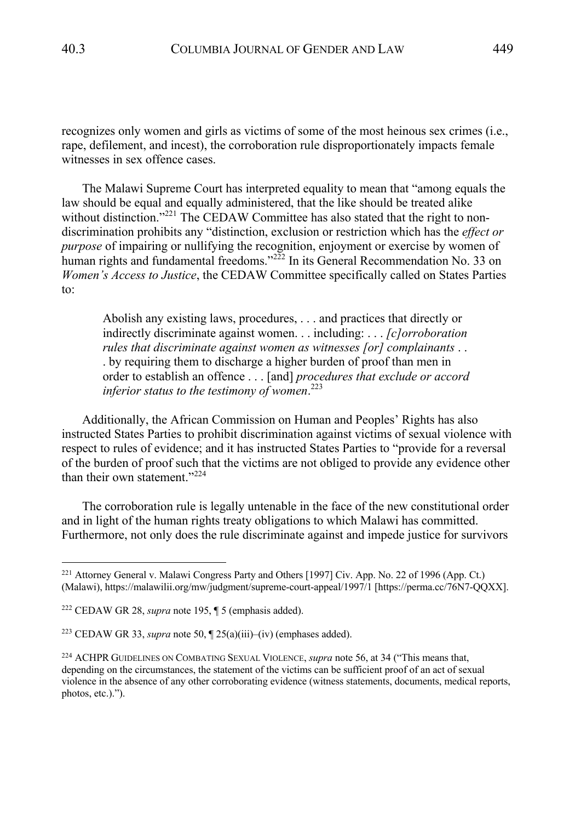recognizes only women and girls as victims of some of the most heinous sex crimes (i.e., rape, defilement, and incest), the corroboration rule disproportionately impacts female witnesses in sex offence cases.

The Malawi Supreme Court has interpreted equality to mean that "among equals the law should be equal and equally administered, that the like should be treated alike without distinction."<sup>221</sup> The CEDAW Committee has also stated that the right to nondiscrimination prohibits any "distinction, exclusion or restriction which has the *effect or purpose* of impairing or nullifying the recognition, enjoyment or exercise by women of human rights and fundamental freedoms."<sup>222</sup> In its General Recommendation No. 33 on *Women's Access to Justice*, the CEDAW Committee specifically called on States Parties to:

Abolish any existing laws, procedures, . . . and practices that directly or indirectly discriminate against women. . . including: . . . *[c]orroboration rules that discriminate against women as witnesses [or] complainants* . . . by requiring them to discharge a higher burden of proof than men in order to establish an offence . . . [and] *procedures that exclude or accord inferior status to the testimony of women*. 223

Additionally, the African Commission on Human and Peoples' Rights has also instructed States Parties to prohibit discrimination against victims of sexual violence with respect to rules of evidence; and it has instructed States Parties to "provide for a reversal of the burden of proof such that the victims are not obliged to provide any evidence other than their own statement."<sup>224</sup>

The corroboration rule is legally untenable in the face of the new constitutional order and in light of the human rights treaty obligations to which Malawi has committed. Furthermore, not only does the rule discriminate against and impede justice for survivors

<sup>221</sup> Attorney General v. Malawi Congress Party and Others [1997] Civ. App. No. 22 of 1996 (App. Ct.) (Malawi), https://malawilii.org/mw/judgment/supreme-court-appeal/1997/1 [https://perma.cc/76N7-QQXX].

<sup>222</sup> CEDAW GR 28, *supra* note 195, ¶ 5 (emphasis added).

<sup>&</sup>lt;sup>223</sup> CEDAW GR 33, *supra* note 50,  $\sqrt{25(a)(iii)}$ –(iv) (emphases added).

<sup>224</sup> ACHPR GUIDELINES ON COMBATING SEXUAL VIOLENCE, *supra* note 56, at 34 ("This means that, depending on the circumstances, the statement of the victims can be sufficient proof of an act of sexual violence in the absence of any other corroborating evidence (witness statements, documents, medical reports, photos, etc.).").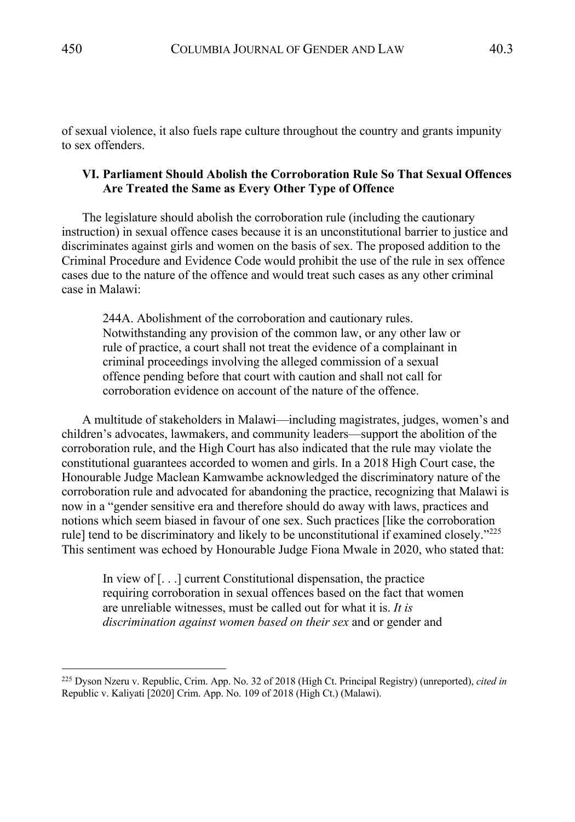of sexual violence, it also fuels rape culture throughout the country and grants impunity to sex offenders.

# **VI. Parliament Should Abolish the Corroboration Rule So That Sexual Offences Are Treated the Same as Every Other Type of Offence**

The legislature should abolish the corroboration rule (including the cautionary instruction) in sexual offence cases because it is an unconstitutional barrier to justice and discriminates against girls and women on the basis of sex. The proposed addition to the Criminal Procedure and Evidence Code would prohibit the use of the rule in sex offence cases due to the nature of the offence and would treat such cases as any other criminal case in Malawi:

244A. Abolishment of the corroboration and cautionary rules. Notwithstanding any provision of the common law, or any other law or rule of practice, a court shall not treat the evidence of a complainant in criminal proceedings involving the alleged commission of a sexual offence pending before that court with caution and shall not call for corroboration evidence on account of the nature of the offence.

A multitude of stakeholders in Malawi—including magistrates, judges, women's and children's advocates, lawmakers, and community leaders—support the abolition of the corroboration rule, and the High Court has also indicated that the rule may violate the constitutional guarantees accorded to women and girls. In a 2018 High Court case, the Honourable Judge Maclean Kamwambe acknowledged the discriminatory nature of the corroboration rule and advocated for abandoning the practice, recognizing that Malawi is now in a "gender sensitive era and therefore should do away with laws, practices and notions which seem biased in favour of one sex. Such practices [like the corroboration rule] tend to be discriminatory and likely to be unconstitutional if examined closely. $"^{225}$ This sentiment was echoed by Honourable Judge Fiona Mwale in 2020, who stated that:

In view of [. . .] current Constitutional dispensation, the practice requiring corroboration in sexual offences based on the fact that women are unreliable witnesses, must be called out for what it is. *It is discrimination against women based on their sex* and or gender and

<sup>225</sup> Dyson Nzeru v. Republic, Crim. App. No. 32 of 2018 (High Ct. Principal Registry) (unreported), *cited in* Republic v. Kaliyati [2020] Crim. App. No. 109 of 2018 (High Ct.) (Malawi).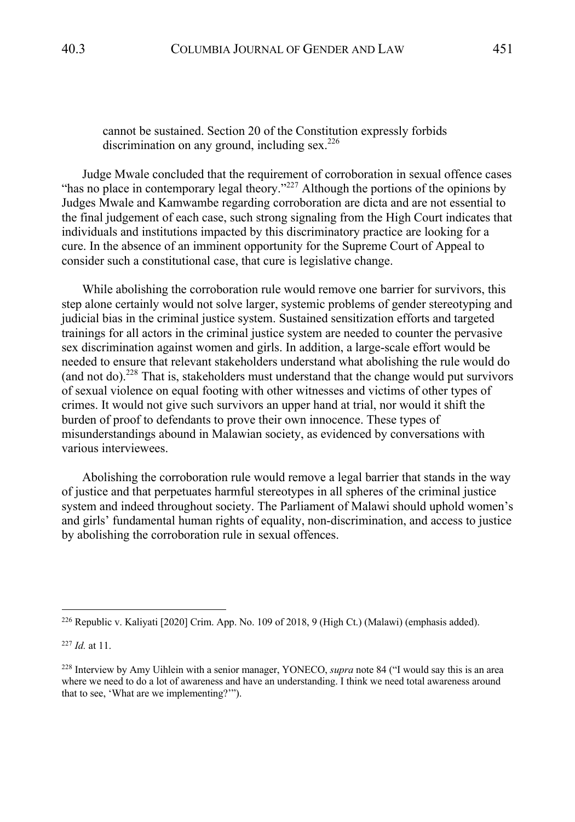# cannot be sustained. Section 20 of the Constitution expressly forbids discrimination on any ground, including  $sex.^{226}$

Judge Mwale concluded that the requirement of corroboration in sexual offence cases "has no place in contemporary legal theory."<sup>227</sup> Although the portions of the opinions by Judges Mwale and Kamwambe regarding corroboration are dicta and are not essential to the final judgement of each case, such strong signaling from the High Court indicates that individuals and institutions impacted by this discriminatory practice are looking for a cure. In the absence of an imminent opportunity for the Supreme Court of Appeal to consider such a constitutional case, that cure is legislative change.

While abolishing the corroboration rule would remove one barrier for survivors, this step alone certainly would not solve larger, systemic problems of gender stereotyping and judicial bias in the criminal justice system. Sustained sensitization efforts and targeted trainings for all actors in the criminal justice system are needed to counter the pervasive sex discrimination against women and girls. In addition, a large-scale effort would be needed to ensure that relevant stakeholders understand what abolishing the rule would do (and not do).228 That is, stakeholders must understand that the change would put survivors of sexual violence on equal footing with other witnesses and victims of other types of crimes. It would not give such survivors an upper hand at trial, nor would it shift the burden of proof to defendants to prove their own innocence. These types of misunderstandings abound in Malawian society, as evidenced by conversations with various interviewees.

Abolishing the corroboration rule would remove a legal barrier that stands in the way of justice and that perpetuates harmful stereotypes in all spheres of the criminal justice system and indeed throughout society. The Parliament of Malawi should uphold women's and girls' fundamental human rights of equality, non-discrimination, and access to justice by abolishing the corroboration rule in sexual offences.

<sup>226</sup> Republic v. Kaliyati [2020] Crim. App. No. 109 of 2018, 9 (High Ct.) (Malawi) (emphasis added).

<sup>227</sup> *Id.* at 11.

<sup>228</sup> Interview by Amy Uihlein with a senior manager, YONECO, *supra* note 84 ("I would say this is an area where we need to do a lot of awareness and have an understanding. I think we need total awareness around that to see, 'What are we implementing?'").